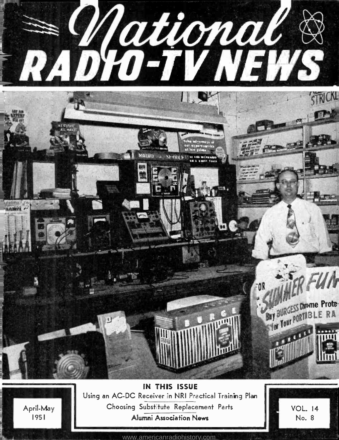

IN THIS ISSUE Using an AC -DC Receiver ün NRI Practical Training Plan Choosing Substitute Replacement Parts Alumni Association News

April-May 1951



<www.americanradiohistory.com>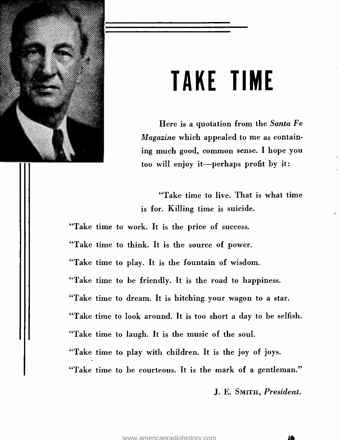

# TAKE TIME

Here is a quotation from the Santa Fe Magazine which appealed to me as containing much good, common sense. I hope you too will enjoy it-perhaps profit by it:

"Take time to live. That is what time is for. Killing time is suicide.

"Take time to work. It is the price of success.

"Take time to think. It is the source of power.

"Take time to play. It is the fountain of wisdom.

"Take time to be friendly. It is the road to happiness.

"Take time to dream. It is hitching your wagon to a star.

"Take time to look around. It is too short a day to be selfish.

"Take time to laugh. It is the music of the soul.

"Take time to play with children. It is the joy of joys.

"Take time to be courteous. It is the mark of a gentleman."

J. E. SMITH, President.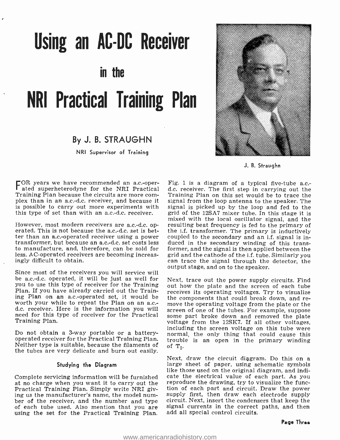# Using an AC -DC Receiver

in the

# NRI Practical Training Plan

### By J. B. STRAUGHN

NRI Supervisor of Training



J. B. Straughn

FOR years we have recommended an a.c.-oper- ated superheterodyne for the NRI Practical plex than in an a.c.-d.c. receiver, and because it is possible to carry out more experiments with this type of set than with an a.c.-d.c. receiver.

However, most modern receivers are a.c.-d.c. op-<br>erated. This is not because the a.c.-d.c. set is better than an a.c.-operated receiver using a power coupled to the secondary and an i.f. signal is in-<br>transformer, but because an a.c.-d.c. set costs less duced in the secondary winding of this transto manufacture, and, therefore, can be sold for less. AC- operated receivers are becoming increasingly difficult to obtain.

Since most of the receivers you will service will be a.c.-d.c. operated, it will be just as well for you to use this type of receiver for the Training Plan. If you have already carried out the Training Plan on an a.c.-operated set, it would be worth your while to repeat the Plan on an a.c.- move the operating voltage from the plate or the d.c. receiver. Here is the information you will screen of one of the tubes. For example, suppose need for this type of receiver for the Practical some part broke down and removed the plate Training Plan.

Do not obtain a 3-way portable or a battery-<br>operated receiver for the Practical Training Plan. trouble is an open in the primary winding Neither type is suitable, because the filaments of  $\sigma$  of  $T_2$ . the tubes are very delicate and burn out easily.

#### Studying the Diagram

Complete servicing information will be furnished cate the electrical value of each part. As you<br>at no charge when you want it to carry out the reproduce the drawing, try to visualize the funcat no charge when you want it to carry out the<br>Practical Training Plan. Simply write NRI giving us the manufacturer's name, the model num-<br>ber of the receiver, and the number and type circuit. Next, insert the condensers that keep the of each tube used. Also mention that you are using the set for the Practical Training Plan.

Fig. 1 is a diagram of a typical five-tube a.c.d.c. receiver. The first step in carrying out the Training Plan on this set would be to trace the signal from the loop antenna to the speaker. The signal is picked up by the loop and fed to the grid of the 12SA7 mixer tube. In this stage it is mixed with the local oscillator signal, and the resulting beat frequency is fed to the primary of the i.f. transformer. The primary is inductively duced in the secondary winding of this transformer, and the signal is then applied between the grid and the cathode of the i.f. tube. Similarly you can trace the signal through the detector, the output stage, and on to the speaker.

Next, trace out the power supply circuits. Find out how the plate and the screen of each tube receives its operating voltages. Try to visualize the components that could break down, and revoltage from the 12SK7. If all other voltages,<br>including the screen voltage on this tube were trouble is an open in the primary winding

Next, draw the circuit diagram. Do this on a large sheet of paper, using schematic symbols like those used on the original diagram, and indicate the electrical value of each part. As you tion of each part and circuit. Draw the power signal currents in the correct paths, and then add all special control circuits.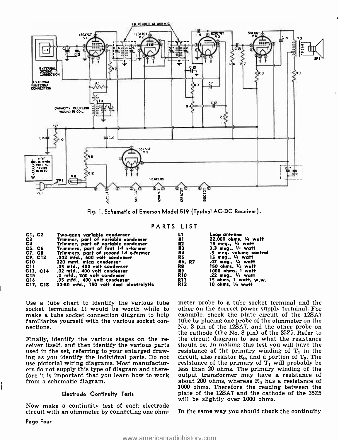

Fig. I. Schematic of Emerson Model 519 (Typical AC -DC Receiver).

#### PARTS LIST

| C1, C2         | Two-gang variable condenser            |                | Loop antenna                   |
|----------------|----------------------------------------|----------------|--------------------------------|
| C <sub>3</sub> | Trimmer, part of variable condenser    | R1             | 22,000 ohms, 1/4 watt          |
| C <sub>4</sub> | Trimmer, part of variable condenser    | R2             | 15 meg., $\frac{1}{4}$ watt    |
| C5 C6          | Trimmers, part of first i-f x-former   | R <sub>3</sub> | $3.3$ meg., $\frac{1}{4}$ watt |
| C7, C8         | Trimmers, part of second i-f x-former  | R4             | .5 mea. volume control         |
| C9. C12        | .002 mfd., 600 volt condenser          | R5             | 15 meg., '/4 watt              |
| C10            | 220 mmf. mica condenser                | <b>R6. R7</b>  | .47 meg., 1/4 watt             |
| C11            | .05 mfd. 400 volt condenser            | R8             | 150 ohms, $V_2$ watt           |
| C13, C14       | .02 mfd., 400 volt condenser           | R9             | 1000 ohms, 1 watt              |
| C15            | .2 mfd., 200 volt condenser            | <b>R10</b>     | .22 meg., 1/4 watt             |
| C16            | .05 mfd., 400 volt condenser           | R11            | 15 ohms, I watt, w.w.          |
| C17, C18       | 30-50 mfd., 150 volt dual electrolytic | R12            | 10 ohms, $\frac{1}{2}$ watt    |

Use a tube chart to identify the various tube socket terminals. It would be worth while to make a tube socket connection diagram to help familiarize yourself with the various socket con- nections.

Finally, identify the various stages on the receiver itself, and then identify the various parts used in the set, referring to your enlarged drawuse pictorial wiring diagrams. Most manufactur-<br>ers do not supply this type of diagram and therefore it is important that you learn how to work from a schematic diagram.

#### Electrode Continuity Tests

Now make a continuity test of each electrode circuit with an ohmmeter by connecting one ohmmeter probe to a tube socket terminal and the other on the correct power supply terminal. For example, check the plate circuit of the 12SA7 tube by placing one probe of the ohmmeter on the No. 3 pin of the 12SA7, and the other probe on the cathode (the No. 8 pin) of the 35Z5. Refer to the circuit diagram to see what the resistance should be. In making this test you will have the resistance of the primary winding of  $T_1$  in the circuit, also resistor  $R_9$ , and a portion of  $T_3$ . The resistance of the primary of  $T_1$  will probably be less than 20 ohms. The primary winding of the output transformer may have a resistance of about 200 ohms, whereas R9 has a resistance of 1000 ohms. Therefore the reading between the plate of the 12SA7 and the cathode of the 35Z5 will be slightly over 1000 ohms.

In the same way you should check the continuity

Page Four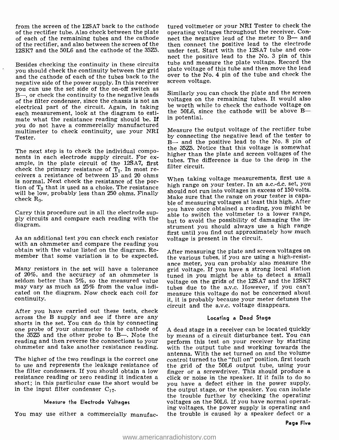from the screen of the 12SA7 back to the cathode of the rectifier tube. Also check between the plate of each of the remaining tubes and the cathode of the rectifier, and also between the screen of the

Besides checking the continuity in these circuits you should check the continuity between the grid plate voltage of this tube and then move the lead<br>and the cathode of each of the tubes hack to the over to the No. 4 pin of the tube and check the and the cathode of each of the tubes back to the  $\frac{1}{2}$  over to the NO<br>negative side of the power supply In this receiver screen voltage. negative side of the power supply. In this receiver  $B$ —, or check the continuity to the negative leads of the filter condenser, since the chassis is not an voltages on the remaining tubes. It would also<br>electrical part of the circuit, Again, in taking be worth while to check the cathode voltage on electrical part of the circuit. Again, in taking each measurement, look at the diagram to estimate what the resistance reading should be. If you do not have a commercially manufactured multimeter to check continuity, use your NRI Tester.

The next step is to check the individual components in each electrode supply circuit. For example, in the plate circuit of the 12SA7, first check the primary resistance of  $T_1$ . In most receivers a resistance of between 15 and 20 ohms is normal. Next check the resistance of the por-<br>tion of  $T_3$  that is used as a choke. The resistance high range on your tester. In an access of 150 yourst will be low, probably less than 250 ohms. Finally check  $R_9$ .

Carry this procedure out in all the electrode supply circuits and compare each reading with the diagram.

As an additional test you can check each resistor obtain with the value listed on the diagram. Re-

of 20%, and the accuracy of an ohmmeter is seldom better than  $5\%$ , so the measured value may vary as much as 25% from the value indicated on the diagram. Now check each coil for continuity.

After you have carried out these tests, check across the B supply and see if there are any one probe of your ohmmeter to the cathode of  $A$  dead stage in a receiver can be located quickly the 35Z5 and the other probe to B—. Note the by means of a circuit disturbance test. You can the 35 $Z5$  and the other probe to B-. Note the reading and then reverse the connections to your ohmmeter and take another resistance reading.

The higher of the two readings is the correct one control turned to the "full on" position, first touch<br>to use and represents the leakage resistance of the grid of the 50L6 output tube, using your<br>the filter condensers. If the filter condensers. If you should obtain a low resistance reading or zero reading it indicates a click or noise in the speaker. If it fails to do so short; in this particular case the short would be  $\gamma_{\text{ou}}$  have a defect either in the power supply, in the input filter condenser  $C_{17}$ .

#### Measure the Electrode Voltages

You may use either a commercially manufac-

12SK7 and the 50L6 and the cathode of the 35Z5. under test. Start with the 12SA7 tube and con-<br>nect the positive lead to the No. 3 pin of this tured voltmeter or your NRI Tester to check the operating voltages throughout the receiver. Connect the negative lead of the meter to B- and then connect the positive lead to the electrode under test. Start with the 12SA7 tube and contube and measure the plate voltage. Record the plate voltage of this tube and then move the lead

> Similarly you can check the plate and the screen voltages on the remaining tubes. It would also the 50L6, since the cathode will be above Bin potential.

> Measure the output voltage of the rectifier tube by connecting the negative lead of the tester to B- and the positive lead to the No. 8 pin of the 35Z5. Notice that this voltage is somewhat higher than the plate and screen voltages of the tubes. The difference is due to the drop in the filter circuit.

> When taking voltage measurements, first use a. should not run into voltages in excess of 150 volts. Make sure that the range on your tester is capable of measuring voltages at least this high. After you have once obtained a reading, you might be able to switch the voltmeter to a lower range, but to avoid the possibility of damaging the instrument you should always use a high range first until you find out approximately how much voltage is present in the circuit.

member that some variation is to be expected. The various tubes, if you are using a high-resistance meter, you can probably also measure the<br>Many resistors in the set will have a tolerance grid voltage. If you have a strong local station After measuring the plate and screen voltages on grid voltage. If you have a strong local station tuned in you might be able to detect a small voltage on the grids of the 12SA7 and the 12SK7 tubes due to the a.v.c. However, if you can't measure this voltage do not be concerned about it, it is probably because your meter detunes the circuit and the a.v.c. voltage disappears.

#### Locating a Dead Stage

A dead stage in a receiver can be located quickly perform this test on your receiver by starting with the output tube and working towards the antenna. With the set turned on and the volume control turned to the "full on" position, first touch the grid of the 50L6 output tube, using your click or noise in the speaker. If it fails to do so the output stage, or the speaker. You can isolate the trouble further by checking the operating voltages on the 50L6. If you have normal operating voltages, the power supply is operating and the trouble is caused by a speaker defect or a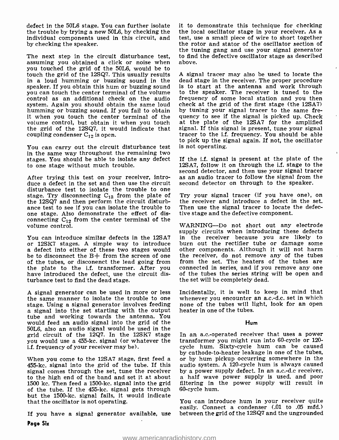defect in the 50L6 stage. You can further isolate it to demonstrate this technique for checking<br>the trouble by trying a new 50L6, by checking the the local oscillator stage in your receiver. As a the trouble by trying a new 50L6, by checking the the local oscillator stage in your receiver. As a individual components used in this circuit, and test, use a small piece of wire to short together individual components used in this circuit, and test, use a small piece of wire to short together<br>by checking the speaker. the rotor and stator of the oscillator section of by checking the speaker.

The next step in the circuit disturbance test, assuming you obtained a click or noise when you touched the grid of the 50L6, would be to touch the grid of the 12SQ7. This usually results in a loud humming or buzzing sound in the speaker. If you obtain this hum or buzzing sound you can touch the center terminal of the volume control as an additional check on the audio system. Again you should obtain the same loud humming or buzzing sound. If you fail to obtain it when you touch the center terminal of the quency to see if the signal is picked up. Check<br>volume control, but obtain it when you touch at the plate of the 12SA7 for the amplified volume control, but obtain it when you touch the grid of the 12SQ7, it would indicate that signal. If this signal is present, tune your signal coupling condenser  $C_1$ , is open. coupling condenser  $C_{12}$  is open.

You can carry out the circuit disturbance test in the same way throughout the remaining two stages. You should be able to isolate any defect to one stage without much trouble.

After trying this test on your receiver, introduce a defect in the set and then use the circuit disturbance test to isolate the trouble to one disturbance test to isolate the trouble to one stage. Try disconnecting  $C_{13}$  from the plate of Tr the 12SQ7 and then perform the circuit disturbance test to see if you can isolate the trouble to one stage. Also demonstrate the effect of disconnecting  $C_{12}$  from the center terminal of the volume control.

You can introduce similar defects in the 12SA7 in the receiver because you are likely to or 12SK7 stages. A simple way to introduce burn out the rectifier tube or damage some a defect into either of these two stages would of the tubes, or disconenct the lead going from the plate to the 1.f. transformer. After you have introduced the defect, use the circuit disturbance test to find the dead stage.

A signal generator can be used in more or less stage. Using a signal generator involves feeding none of the tubes will light, look for an open<br>a signal into the set starting with the output heater in one of the tubes. tube and working towards the antenna. You would feed an audio signal into the grid of the 50L6, also an audio signal would be used in the<br>grid circuit of the 12Q7. In the 12SK7 stage In an a.c.-operated receiver that uses a power grid circuit of the 12Q7. In the 12SK7 stage In an a.c.-operated receiver that uses a power<br>you would use a 455-kc, signal (or whatever the transformer you might run into 60-cycle or 120you would use a 455 -kc. signal (or whatever the i.f. frequency of your receiver may be).

signal comes through the set, tune the receiver by a power supply defect. In an a.c.-d.c receiver,<br>to the high end of the band and set it at about a half wave power supply is used, and poor to the high end of the band and set it at about 1500 kc. Then feed a 1500 -kc. signal into the grid of the tube. If the 455 -kc. signal gets through but the 1500 -kc. signal fails, it would indicate that the oscillator is not operating.

If you have a signal generator available, use Page Six

it to demonstrate this technique for checking the tuning gang and use your signal generator to find the defective oscillator stage as described above.

A signal tracer may also be used to locate the dead stage in the receiver. The proper procedure is to start at the antenna and work through to the speaker. The receiver is tuned to the frequency of some local station and you then check at the grid of the first stage (the 12SA7) by tuning your signal tracer to the same frequency to see if the signal is picked up. Check signal. If this signal is present, tune your signal to pick up the signal again. If not, the oscillator is not operating.

If the i.f. signal is present at the plate of the 12SA7, follow it on through the i.f. stage to the second detector, and then use your signal tracer as an audio tracer to follow the signal from the second detector on through to the speaker.

Try your signal tracer (if you have one), on the receiver and introduce a defect in the set. Then use the signal tracer to locate the defective stage and the defective component.

WARNING--Do not short out any electrode supply circuits when introducing these defects in the receiver because you are likely to burn out the rectifier tube or damage some the receiver, do not remove any of the tubes from the set. The heaters of the tubes are connected in series, and if you remove any one of the tubes the series string will be open and the set will be completely dead.

Incidentally, it is well to keep in mind that whenever you encounter an a.c.-d.c. set in which heater in one of the tubes.

#### Hum

When you come to the 12SA7 stage, first feed a or by hum pickup occurring somewhere in the 455-kc. signal into the grid of the tube. If this audio system. A 120-cycle hum is always caused cycle hum. Sixty-cycle hum can be caused by cathode-to-heater leakage in one of the tubes, audio system. A 120 -cycle hum is always caused by a power supply defect. In an a.c.-d.c receiver, filtering in the power supply will result in 60-cycle hum.

> You can introduce hum in your receiver quite easily. Connect a condenser (.01 to .05 mfd.) between the grid of the 12SQ7 and the ungrounded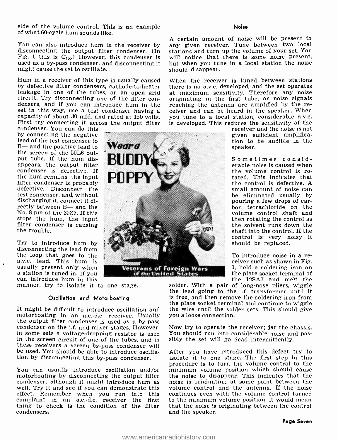side of the volume control. This is an example of what 60-cycle hum sounds like.

You can also introduce hum in the receiver by disconnecting the output filter condenser. (In Fig. 1 this is  $C_{18}$ .) However, this condenser is used as a by-pass condenser, and disconnecting it might cause the set to oscillate.

Hum in a receiver of this type is usually caused by defective filter condensers, cathode-to-heater<br>leakage in one of the tubes, or an open grid circuit. Try disconnecting one of the filter con-<br>densers, and if you can introduce hum in the reaching the antenna are amplified by the re-<br>set in this way, use a test condenser having a ceiver and can be heard in the spe capacity of about 30 mfd. and rated at 150 volts. you tune to a local station, considerable a.v.c. First try connecting it across the output filter is developed. This reduces the sensitivity of the

condenser. You can do this<br>by connecting the negative lead of the test condenser to  $B$ — and the positive lead to the screen of the 50L6 output tube. If the hum disappears, the output filter condenser is defective. If<br>the hum remains, the input filter condenser is probably<br>defective. Disconnect the test condenser, and, without discharging it, connect it directly between B- and the No. 8 pin of the 35Z5. If this filter condenser is causing<br>the trouble.

Try to introduce hum by disconnecting the lead from the loop that goes to the a.v.c. lead. This hum is a station is tuned in. If you can introduce hum in this

manner, try to isolate it to one stage.

#### Oscillation and Motorboating

motorboating in an a.c.-d.c. receiver. Usually you a loose connection.<br>the output filter condenser is used as a by-pass<br>condenser on the i.f. and mixer stages. However, in some sets a voltage-dropping resistor is used You in the screen circuit of one of the tubes, and in these receivers a screen by -pass condenser will be used. You should be able to introduce oscillation by disconnecting this by -pass condenser.

motorboating by disconnecting the output filter condenser, although it might introduce hum as well. Try it and see if you can demonstrate this effect. Remember when you run into this complaint in an a.c.-d.c. receiver the first to the minimum volume position, it would mean thing to check is the condition of the filter that the noise is originating between the control thing to check is the condition of the filter condensers.

#### Noise

A certain amount of noise will be present in any given receiver. Tune between two local stations and turn up the volume of your set. You will notice that there is some noise present, but when you tune in a local station the noise should disappear.

When the receiver is tuned between stations there is no a.v.c. developed, and the set operates at maximum sensitivity. Therefore any noise originating in the first tube, or noise signals ceiver and can be heard in the speaker. When is developed. This reduces the sensitivity of the

> receiver and the noise is not given sufficient amplification to be audible in the speaker.

police into the control. If the Sometimes considerable noise is caused when<br>the volume control is rotated. This indicates that the control is defective. A small amount of noise can be eliminated usually by pouring a few drops of car-<br>bon tetrachloride on the volume control shaft and<br>then rotating the control as the solvent runs down the control is very noisy it should be replaced.

> To introduce noise in a re- ceiver such as shown in Fig. 1, hold a soldering iron on the plate socket terminal of

It might be difficult to introduce oscillation and the wire until the solder sets. This should give the 12SA7 and melt the solder. With a pair of long-nose pliers, wiggle the lead going to the i.f. transformer until it is free, and then remove the soldering iron from the plate socket terminal and continue to wiggle you a loose connection.

> Now try to operate the receiver; jar the chassis. You should run into considerable noise and pos-

You can usually introduce oscillation and/or minimum volume position which should cause After you have introduced this defect try to isolate it to one stage. The first step in this procedure is to turn the volume control to the the noise to disappear. This indicates that the noise is originating at some point between the volume control and the antenna. If the noise continues even with the volume control turned to the minimum volume position, it would mean and the speaker.

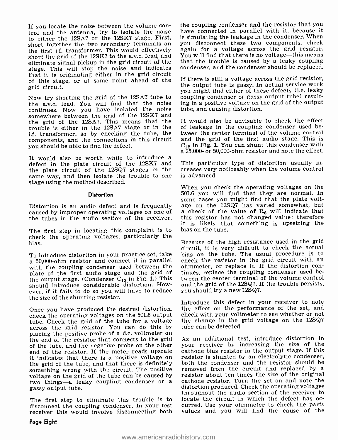If you locate the noise between the volume con- trol and the antenna, try to isolate the noise to either the 12SA7 or the 12SK7 stage. First, the first i.f. transformer. This would effectively short the grid of the 12SK7 to the a.v.c. lead, and You will find that there is no voltage—this means<br>eliminate signal pickup in the grid circuit of the that the trouble is caused by a leaky coupling eliminate signal pickup in the grid circuit of the stage. This will stop the noise and indicates that it is originating either in the grid circuit of this stage, or at some point ahead of the grid circuit.

Now try shorting the grid of the 12SA7 tube to the a.v.c. lead. You will find that the noise continues. Now you have isolated the noise somewhere between the grid of the 12SK7 and the grid of the 12SA7. This means that the trouble is either in the 12SA7 stage or in the i.f. transformer, so by checking the tube, the components, and the connections in this circuit you should be able to find the defect.

It would also be worth while to introduce a<br>defect in the plate circuit of the 12SK7 and This particular type of distortion usually in-<br>the plate circuit of the 12SQ7 stages in the creases very noticeably when the volume c the plate circuit of the 12SQ7 stages in the same way, and then isolate the trouble to one stage using the method described.

#### **Distortion**

caused by improper operating voltages on one of the tubes in the audio section of the receiver.

The first step in locating this complaint is to check the operating voltages, particularly the bias.

To introduce distortion in your practice set, take bias on the tube. The usual procedure is to<br>a 50,000-ohm resistor and connect it in parallel check the resistor in the grid circuit with an with the coupling condenser used between the sohmmeter, or replace it. If the distortion con-<br>plate of the first audio stage and the grid of stinues, replace the coupling condenser used beplate of the first audio stage and the grid of the output stage. (Condenser  $C_{13}$  in Fig. 1.) This should introduce considerable distortion. However, if it fails to do so you will have to reduce the size of the shunting resistor.

Once you have produced the desired distortion, check the operating voltages on the 50L6 output across the grid resistor. You can do this by placing the positive probe of a d.c. voltmeter on the end of the resistor that connects to the grid of the tube, and the negative probe on the other end of the resistor. If the meter reads upscale<br>it indicates that there is a positive voltage on the grid of the tube, and that there is definitely both the condenser and the resistor should be<br>something wrong with the circuit. The positive removed from the circuit and replaced by a something wrong with the circuit. The positive voltage on the grid of the tube can be caused by two things—a leaky coupling condenser or a gassy output tube.

disconnect the coupling condenser. In your test receiver this would involve disconnecting both

the coupling condenser and the resistor that you have connected in parallel with it, because it is simulating the leakage in the condenser. When you disconnect these two components, check again for a voltage across the grid resistor. You will find that there is no voltage—this means condenser, and the condenser should be replaced.

If there is still a voltage across the grid resistor, the output tube is gassy. In actual service work you might find either of these defects (i.e. leaky coupling condenser or gassy output tube) resulting in a positive voltage on the grid of the output tube, and causing distortion.

It would also be advisable to check the effect of leakage in the coupling condenser used between the center terminal of the volume control and the grid of the first audio stage. This is  $C_{12}$  in Fig. 1. You can shunt this condenser with a 25,000- or 50,000-ohm resistor and note the effect.

This particular type of distortion usually inis advanced.

Distortion is an audio defect and is frequently age on the 12SQ7 has varied somewhat, but When you check the operating voltages on the 50L6 you will find that they are normal. In some cases you might find that the plate volta check of the value of  $R_6$  will indicate that this resistor has not changed value; therefore it is likely that something is upsetting the bias on the tube.

> Because of the high resistance used in the grid circuit, it is very difficult to check the actual bias on the tube. The usual procedure is to check the replace it. If the distortion contween the center terminal of the volume control and the grid of the 12SQ7. If the trouble persists, you should try a new 12SQ7.

> Introduce this defect in your receiver to note the effect on the performance of the set, and check with your voltmeter to see whether or not the change in the grid voltage on the 12SQ7 tube can be detected.

The first step to eliminate this trouble is to locate the circuit in which the defect has oc-As an additional test, introduce distortion in your receiver by increasing the size of the cathode bias resistor in the output stage. If this resistor is shunted by an electrolytic condenser, both the condenser and the resistor should be resistor about ten times the size of the original cathode resistor. Turn the set on and note the distortion produced. Check the operating voltages throughout the audio section of the receiver to curred. Use your ohmmeter to check the parts values and you will find the cause of the

#### Page Eight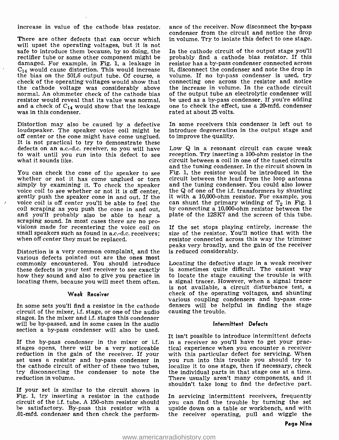increase in value of the cathode bias resistor.

There are other defects that can occur which will upset the operating voltages, but it is not<br>safe to introduce them because, by so doing, the In the cathode circuit of the output stage you'll safe to introduce them because, by so doing, the rectifier tube or some other component might be damaged. For example, in Fig. 1, a leakage in resistor has a by-pass condenser connected across  $C_{14}$  would cause distortion. This would increase it, disconnect the condenser and note the drop in  $C_{14}$  would cause distortion. This would increase it, disconnect the condenser and note the drop in the bias on the 50L6 output tube. Of course, a volume. If no by-pass condenser is used, try the bias on the 50L6 output tube. Of course, a check of the operating voltages would show that the cathode voltage was considerably above normal. An ohmmeter check of the cathode bias resistor would reveal that its value was normal, be used as a by-pass condenser. If you're adding<br>and a check of  $C_{14}$  would show that the leakage one to check the effect, use a 20-mfd, condenser and a check of  $C_{14}$  would show that the leakage was in this condenser.

Distortion may also be caused by a defective loudspeaker. The speaker voice coil might be off center or the cone might have come unglued. It is not practical to try to demonstrate these defects on an a.c.-d.c. receiver, so you will have to wait until you run into this defect to see what it sounds like.

You can check the cone of the speaker to see whether or not it has come unglued or torn simply by examining it. To check the speaker and the tuning condenser. You could also lower voice coil to see whether or not it is off center, the Q of one of the i.f. transformers by shunting gently push the speaker cone voice coil is off center you'll be able to feel the coil scraping as you push the cone in and out, and you'll probably also be able to hear a scraping sound. In most cases there are no provisions made for recentering the voice coil on small speakers such as found in a.c.-d.c. receivers; when off center they must be repl

Distortion is a very common complaint, and the various defects pointed out are the ones most commonly encountered. You should introduce these defects in your test receiver to see exactly is sometimes quite difficult. The easiest way<br>how they sound and also to give you practice in to locate the stage causing the trouble is with<br>locating them, because you wi

#### Weak Receiver

circuit of the mixer, i.f. stage, or one of the audio stages. In the mixer and i.f. stages this condenser will be by-passed, and in some cases in the audio section a by-pass condenser will also be used.

If the by-pass condenser in the mixer or i.f. stages opens, there will be a very noticeable reduction in the gain of the receiver. If your set uses a resistor and by -pass condenser in the cathode circuit of either of these two tubes, try disconnecting the condenser to note the reduction in volume.

If your set is similar to the circuit shown in Fig. 1, try inserting a resistor in the cathode circuit of the i.f. tube. A 150 -ohm resistor should be satisfactory. By-pass this resistor with a .01 -mfd. condenser and then check the performance of the receiver. Now disconnect the by-pass condenser from the circuit and notice the drop in volume. Try to isolate this defect to one stage.

probably find a cathode bias resistor. If this resistor has a by-pass condenser connected across connecting one across the resistor and notice the increase in volume. In the cathode circuit of the output tube an electrolytic condenser will be used as a by-pass condenser. If you're adding rated at about 25 volts.

In some receivers this condenser is left out to introduce degeneration in the output stage and to improve the quality.

Low Q in a resonant circuit can cause weak reception. Try inserting a 100-ohm resistor in the circuit between a coil in one of the tuned circuits and the tuning condenser. In the circuit shown in Fig. 1, the resistor would be introduced in the circuit between the lead from the loop antenna and the tuning condenser. You could also lower it with a 10,000-ohm resistor. For example, you by connecting a 10,000 -ohm resistor between the plate of the 12SK7 and the screen of this tube.

If the set stops playing entirely, increase the size of the resistor. You'll notice that with the resistor connected across this way the trimmer peaks very broadly, and the gain of the receiver is reduced considerably.

locating them, because you will meet them often. a signal tracer. However, when a signal tracer<br>is not available, a circuit disturbance test, a various coupling condensers and by-pass con-<br>In some sets you'll find a resistor in the cathode densers will be helpful in finding the stage<br>circuit of the mixer, i.f. stage, or one of the audio causing the trouble. Locating the defective stage in a weak receiver is sometimes quite difficult. The easiest way to locate the stage causing the trouble is with check of the operating voltages, and shunting<br>various coupling condensers and by-pass con-<br>densers will be helpful in finding the stage

#### Intermittent Defects

It isn't possible to introduce intermittent defects in a receiver so you'll have to get your practical experience when you encounter a receiver with this particular defect for servicing. When you run into this trouble you should try to localize it to one stage, then if necessary, check the individual parts in that stage one at a time. There usually aren't many components, and it shouldn't take long to find the defective part.

In servicing intermittent receivers, frequently you can find the trouble by turning the set upside down on a table or workbench, and with the receiver operating, pull and wiggle the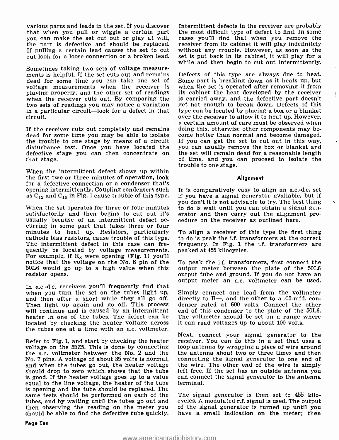various parts and leads in the set. If you discover Intermittent defects in the receiver are probably that when you pull or wiggle a certain part the most difficult type of defect to find. In some you can make the set cut out or play at will, cases you'll find that when you remove the you can make the set cut out or play at will, cases you'll find that when you remove the the part is defective and should be replaced, receiver from its cabinet it will play indefinitely the part is defective and should be replaced. If pulling a certain lead causes the set to cut out look for a loose connection or a broken lead.

Sometimes taking two sets of voltage measure- ments is helpful. If the set cuts out and remains dead for some time you can take one set of voltage measurements when the receiver is playing properly, and the other set of readings when the receiver cuts out. By comparing the two sets of readings you may notice a variation in a particular circuit—look for a defect in that type can be located by placing a box or a blanket<br>over the receiver to allow it to heat up. However, circuit.

If the receiver cuts out completely and remains doing this, otherwise other components may be-<br>dead for some time you may be able to isolate come hotter than normal and become damaged. dead for some time you may be able to isolate the trouble to one stage by means of a circuit disturbance test. Once you have located the defective stage you can then concentrate on that stage.

When the intermittent defect shows up within the first two or three minutes of operation, look for a defective connection or a condenser that's opening intermittently. Coupling condensers such as  $C_{12}$  and  $C_{13}$  in Fig. 1 cause trouble of this type.

When the set operates for three or four minutes satisfactorily and then begins to cut out it's usually because of an intermittent defect oc- curring in some part that takes three or four minutes to heat up. Resistors, particularly cathode bias resistors, cause trouble of this type. The intermittent defect in this case can frequently be located by voltage measurements. For example, if  $R_8$  were opening (Fig. 1) you'll notice that the voltage on the No. 8 pin of the 50L6 would go up to a high value when this resistor opens.

output meter an a.c. voltmeter can be used.<br>In a.c.-d.c. receivers you'll frequently find that when you turn the set on the tubes light up, and then after a short while they all go off. directly to B—, and the other to a .05-mfd. con-<br>Then light up again and go off. This process denser rated at 600 volts. Connect the other Then light up again and go off. This process will continue and is caused by an intermittent heater in one of the tubes. The defect can be located by checking the heater voltage across the tubes one at a time with an a.c. voltmeter.

Refer to Fig. 1, and start by checking the heater receiver. You can do this in a set that uses a voltage on the 35Z5. This is done by connecting loop antenna by wrapping a piece of wire around voltage on the 35Z5. This is done by connecting the a.c. voltmeter between the No. 2 and the No. 7 pins. A voltage of about 35 volts is normal, connecting the signal generator to one end of and when the tubes go out, the heater voltage the wire. The other end of the wire is simply and when the tubes go out, the heater voltage the wire. The other end of the wire is simply should drop to zero which shows that the tube left free. If the set has an outside antenna you is good. If the heater voltage goes is good. If the heater voltage goes up to a value equal to the line voltage, the heater of the tube is opening and the tube should be replaced. The<br>same tests should be performed on each of the The signal generator is then set to 455 kilo-<br>tubes, and by waiting until the tubes go out and cycles. A modulated r.f. signal tubes, and by waiting until the tubes go out and then observing the reading on the meter you of the signal generator is turned up until you<br>should be able to find the defective tube quickly. have a small indication on the meter; then should be able to find the defective tube quickly.

the most difficult type of defect to find. In some without any trouble. However, as soon as the set is put back in its cabinet, it will play for a while and then begin to cut out intermittently.

Defects of this type are always due to heat. Some part is breaking down as it heats up, but when the set is operated after removing it from its cabinet the heat developed by the receiver is carried away, and the defective part doesn't get hot enough to break down. Defects of this type can be located by placing a box or a blanket over the receiver to allow it to heat up. However, a certain amount of care must be observed when If you can get the set to cut out in this way, you can usually remove the box or blanket and the set will remain dead for a reasonable length of time, and you can proceed to isolate the trouble to one stage.

#### **Alignment**

It is comparatively easy to align an a.c.-d.c. set if you have a signal generator available, but if you don't it is not advisable to try. The best thing to do is wait until you can obtain a signal gcaerator and then carry out the alignment procedure on the receiver as outlined here.

To align a receiver of this type the first thing to do is peak the i.f. transformers at the correct frequency. In Fig. 1 the i.f. transformers are peaked at 455 kilocycles.

To peak the i.f. transformers, first connect the output meter between the plate of the 50L6 output tube and ground. If you do not have an

Simply connect one lead from the voltmeter directly to  $B$ —, and the other to a .05-mfd. conend of this condenser to the plate of the 50L6. The voltmeter should be set on a range where it can read voltages up to about 100 volts.

Next, connect your signal generator to the receiver. You can do this in a set that uses a the antenna about two or three times and then connecting the signal generator to one end of left free. If the set has an outside antenna you terminal.

The signal generator is then set to 455 kiloof the signal generator is turned up until you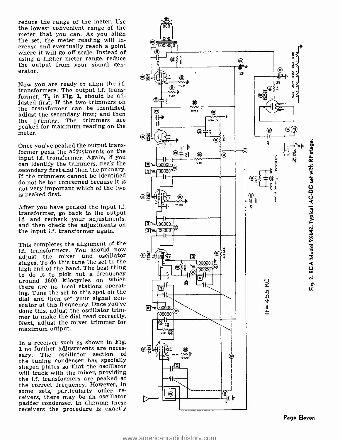reduce the range of the meter. Use the lowest convenient range of the meter that you can. As you align the set, the meter reading will increase and eventually reach a point where it will go off scale. Instead of using a higher meter range, reduce the output from your signal generator.

Now you are ready to align the i.f. transformers. The output i.f. transformer,  $T_2$  in Fig. 1, should be ad-<br>justed first. If the two trimmers on the transformer can be identified, adjust the secondary first; and then the primary. The trimmers are peaked for maximum reading on the meter.

Once you've peaked the output transformer peak the adjustments on the<br>input i.f. transformer. Again, if you can identify the trimmers, peak the can identify the trimmers, peak the  $\frac{1}{\sqrt{2}}\frac{1}{\sqrt{2}}$ <br>secondary first and then the primary.  $\frac{1}{\sqrt{2}}\frac{1}{\sqrt{2}}$ If the trimmers cannot be identified do not be too concerned because it is not very important which of the two<br>is peaked first.  $\bigotimes_{\mathbb{R}}$ is peaked first.

After you have peaked the input i.f. transformer, go back to the output i.f. and recheck your adjustments, and then check the adjustments on the input i.f. transformer again.

This completes the alignment of the i.f. transformers. You should now adjust the mixer and oscillator stages. To do this tune the set to the high end of the band. The best thing to do is to pick out a frequency around 1600 kilocycles on which there are no local stations operating. Tune the set to this spot on the dial and then set your signal generator at this frequency. Once you've done this, adjust the oscillator trim- mer to make the dial read correctly. Next, adjust the mixer trimmer for maximum output.

In a receiver such as shown in Fig.<br>1 no further adjustments are neces-<br> $\bigotimes$ sary. The oscillator section of the tuning condenser has specially shaped plates so that the oscillator will track with the mixer, providing the i.f. transformers are peaked at<br>the correct frequency. However, in some sets, particularly older re-<br>ceivers, there may be an oscillator padder condenser. In aligning these receivers the procedure is exactly

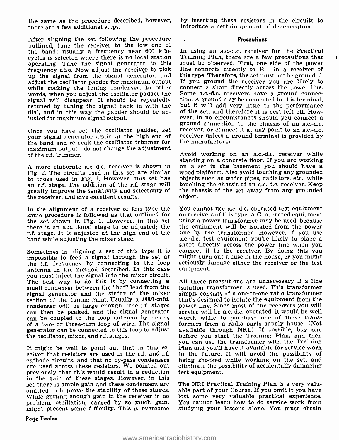the same as the procedure described, however, there are a few additional steps.

After aligning the set following the procedure outlined, tune the receiver to the low end of the band; usually a frequency near 600 kilocycles is selected where there is no local station Training Plan, there are a few precautions that operating. Tune the signal generator to this must be observed. First, one side of the power operating. Tune the signal generator to this frequency also. Now adjust the receiver to pick up the signal from the signal generator, and this type. Therefore, the set must not be grounded.<br>adjust the oscillator padder for maximum output If you ground the receiver you are likely to adjust the oscillator padder for maximum output while rocking the tuning condenser. In other words, when you adjust the oscillator padder the Some a.c.-d.c. receivers have a ground connec-<br>signal will disappear. It should be repeatedly tion. A ground may be connected to this terminal. signal will disappear. It should be repeatedly tion. A ground may be connected to this terminal, retuned by tuning the signal back in with the but it will add very little to the performance dial, and in this way the padde dial, and in this way the padder should be adjusted for maximum signal output.

Once you have set the oscillator padder, set your signal generator again at the high end of receiver unless a g<br>the hand and re-peak the oscillator trimmer for the manufacturer. the band and re -peak the oscillator trimmer for maximum output—do not change the adjustment of the r.f. trimmer.

Fig. 2. The circuits used in this set are similar wood platform. Also avoid touching any grounded to those used in Fig. 1. However, this set has objects such as water pipes, radiators, etc., while to those used in Fig. 1. However, this set has an r.f. stage. The addition of the r.f. stage will touching the chassis of an a.c.-d.c. receiver. Keep greatly improve the sensitivity and selectivity of the chassis of the set away from any grounded greatly improve the sensitivity and selectivity of the receiver, and give excellent results.

the set shown in Fig. 1. However, in this set there is an additional stage to be adjusted; the the equipment will be isolated from the power<br>r.f. stage. It is adjusted at the high end of the line by the transformer. However, if you use r.f. stage. It is adjusted at the high end of the line by the transformer. However, if you use hand while adjusting the mixer stage. band while adjusting the mixer stage.

impossible to feed a signal through the set at might burn out a fuse in the house, or you might the if frequency by connecting to the loop seriously damage either the receiver or the test the i.f. frequency by connecting to the loop antenna in the method described. In this case you must inject the signal into the mixer circuit. small condenser between the "hot" lead from the signal generator and the stator of the mixer section of the tuning gang. Usually a .0001-mfd.<br>condenser will be large enough. The i.f. stages can then be peaked, and the signal generator can be coupled to the loop antenna by means of a two- or three-turn loop of wire. The signal generator can be connected to this loop to adjust available through NRI.) If possible, buy one the oscillator, mixer, and r.f. stages. the oscillator, mixer, and r.f. stages.

It might be well to point out that in this re-<br>ceiver that resistors are used in the r.f. and i.f. in the future. It will avoid the possibility of cathode circuits, and that no by -pass condensers are used across these resistors. We pointed out previously that this would result in a reduction in the gain of these stages. However, in this set there is ample gain and these condensers are omitted to improve the stability of these stages. While getting enough gain in the receiver is no problem, oscillation, caused by so much gain, might present some difficulty. This is overcome

by inserting these resistors in the circuits to introduce a certain amount of degeneration.

#### **Precautions**

In using an a.c.-d.c. receiver for the Practical Training Plan, there are a few precautions that  $\qquad$  + line connects directly to B- in a receiver of this type. Therefore, the set must not be grounded. connect a short directly across the power line. Some a.c.-d.c. receivers have a ground connection. A ground may be connected to this terminal, but it will add very little to the performance of the set, and therefore it is best left off. How-ever, in no circumstances sho ground connection to the chassis of an a.c.-d.c. receiver, or connect it at any point to an a.c.-d.c. receiver unless a ground terminal is provided by

A more elaborate a.c.-d.c. receiver is shown in on a set in the basement you should have a Fig. 2. The circuits used in this set are similar wood platform. Also avoid touching any grounded Avoid working on an a.c.-d.c. receiver while standing on a concrete floor. If you are working touching the chassis of an a.c.-d.c. receiver. Keep object.

In the alignment of a receiver of this type the You cannot use a.c.-d.c. operated test equipment same procedure is followed as that outlined for on receivers of this type. A.C.-operated equipment the set shown in Fig. 1. H short directly across the power line when you<br>Sometimes in aligning a set of this type it is connect it to the receiver. By doing this you on receivers of this type. A.C.-operated equipment the equipment will be isolated from the power might burn out a fuse in the house, or you might equipment.

> All these precautions are unnecessary if a line isolation transformer is used. This transformer simply consists of a one-to-one ratio transformer that's designed to isolate the equipment from the power line. Since most of the receivers you will service will be a.c.-d.c. operated, it would be well worth while to purchase one of these transformers from a radio parts supply house. (Not available through NRI.) If possible, buy one you can use the transformer with the Training in the future. It will avoid the possibility of being shocked while working on the set, and eliminate the possibility of accidentally damaging test equipment.

> The NRI Practical Training Plan is a very valuable part of your Course. If you omit it you have lost some very valuable practical experience. You cannot learn how to do service work from studying your lessons alone. You must obtain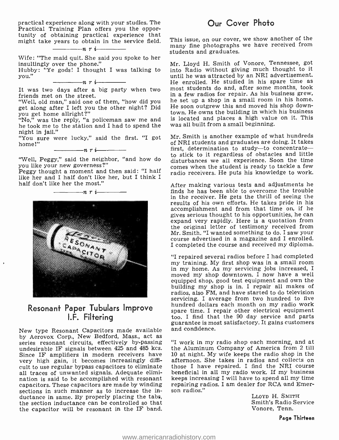practical experience along with your studies. The tunity of obtaining practical experience that might take years to obtain in the service field.<br> $\frac{n!}{n!}$   $\frac{n!}{n!}$ 

Wife: "The maid quit. She said you spoke to her insultingly over the phone."

Hubby: "Ye gods! I thought I was talking to you."

 $\frac{1}{\sqrt{n}}$   $\frac{1}{\sqrt{n}}$ 

friends met on the street.

"Well, old man," said one of them, "how did you get along after I left you the other night? Did you get home allright ?"

 $N_0$ , was the reply, "a policeman saw me and is located and places a high value in the took me to the station and I had to spend the was all built from a small beginning. he took me to the station and I had to spend the night in jail."

"You sure were lucky," said the first. "I got home!"  $\frac{1}{1}$  n r i  $\frac{1}{1}$ 

you like your new governess ?"

Peggy thought a moment and then said: "I half like her and I half don't like her, but I think I half don't like her the most."



### Resonant Paper Tubulars Improve I.F. Filtering

New type Resonant Capacitors made available by Aerovox Corp., New Bedford, Mass., act as series resonant circuits, effectively by-passing undesirable IF signals between 425 and 485 kcs. Since IF amplifiers in modern receivers have  $\frac{10 \text{ at night}}{10 \text{ at period}}$ . My wife keeps the radio shop in the very high gain, it becomes increasingly diffi- afternoon. She takes in radios and collects on very high gain, it becomes increasingly difficult to use regular bypass capacitors to eliminate those I have repaired. I find the NRI course<br>all traces of unwanted signals. Adequate elimi- beneficial in all my radio work. If my business all traces of unwanted signals. Adequate elimination is said to be accomplished with resonant capacitors. These capacitors are made by winding repairing reserving to entries the in-<br>sections in such manner as to increase the insections in such manner as to increase the inductance in same. By properly placing the tabs, the section inductance can be controlled so that the capacitor will be resonant in the IF band.

### Our Cover Photo

This issue, on our cover, we show another of the many fine photographs we have received from students and graduates.

It was two days after a big party when two most students do and, after some months, took Mr. Lloyd H. Smith of Vonore, Tennessee, got into Radio without giving much thought to it until he was attracted by an NRI advertisement. He enrolled. He studied in his spare time as in a few radios for repair. As his business grew, he set up a shop in a small room in his home. He soon outgrew this and moved his shop downtown. He owns the building in which his business is located and places a high value on it. This

'Well, Peggy," said the neighbor, "and how do Mr. Smith is another example of what hundreds Mr. Sinth is another example of what hundreds<br>of NRI students and graduates are doing. It takes<br>first, determination to study—to concentrate first, determination to study—to concentrate—<br>to stick to it regardless of obstacles and little comes when the student is ready to tackle a few radio receivers. He puts his knowledge to work.

> After making various tests and adjustments he finds he has been able to overcome the trouble in the receiver. He gets the thrill of seeing the results of his own efforts. He takes pride in his accomplishment and from that time on, if he gives serious thought to his opportunities, he can expand very rapidly. Here is a quotation from the original letter of testimony received from Mr. Smith. "I wanted something to do. <sup>I</sup>saw your course advertised in a magazine and I enrolled. I completed the course and received my diploma.

> "I repaired several radios before I had completed my training. My first shop was in a small room in my home. As my servicing jobs increased, <sup>I</sup> moved my shop downtown. I now have a well equipped shop, good test equipment and own the building my shop is in. I repair all makes of radios, also FM, and have started to do television servicing. I average from two hundred to five hundred dollars each month on my radio work spare time. I repair other electrical equipment too. I find that the 90 day service and parts guarantee is most satisfactory. It gains customers and confidence.

> "I work in my radio shop each morning, and at the Aluminum Company of America from 2 till 10 at night. My wife keeps the radio shop in the those I have repaired. I find the NRI course keeps increasing I will have to spend all my time repairing radios. I am dealer for RCA and Emer-

> > LLOYD H. SMITH Smith's Radio Service Vonore, Tenn.

> > > Page Thirteen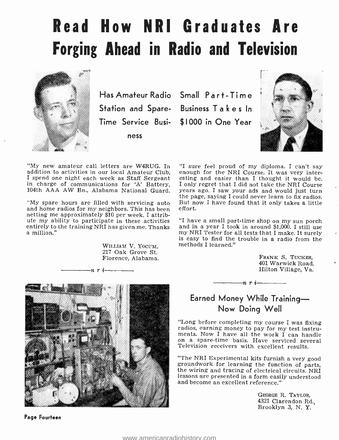## Read How NRI Graduates Are Forging Ahead in Radio and Television



Has Amateur Radio Small Part -Time Time Service Busi-\$1000 in One Year ness

Station and Spare- Business Takes In



"My new amateur call letters are W4RUG. In "I sure feel proud of my diploma. I can't say addition to activities in our local Amateur Club, enough for the NRI Course. It was very interaddition to activities in our local Amateur Club, I spend one night each week as Staff Sergeant in charge of communications for 'A' Battery, 104th AAA AW Bn., Alabama National Guard.

"My spare hours are filled with servicing auto and home radios for my neighbors. This has been netting me approximately \$10 per week. I attribute my ability to participate in these activities "I have a small part-time shop on my sun porch entirely to the training NRI has given me. Thanks and in a year I took in around \$1,000. I still use entirely to the training NRI has given me. Thanks a million."

 $-n$ ri

WILLIAM V. Yocum, 217 Oak Grove St. Florence, Alabama.

"I sure feel proud of my diploma. I can't say esting and easier than I thought it would be. I only regret that I did not take the NRI Course years ago. I saw your ads and would just turn the page, saying I could never learn to fix radios. But now I have found that it only takes a little effort.

"I have a small part -time shop on my sun porch and in a year I took in around \$1,000. I still use my NRI Tester for all tests that I make. It surely is easy to find the trouble in a radio from the methods I learned."

> FRANK S. TUCKER,<br>401 Warwick Road, Hilton Village, Va.

### Earned Money While Training-Now Doing Well

 $-n \cdot i$ 

"Long before completing my course I was fixing radios, earning money to pay for my test instruments. I have serviced several Television receivers with excellent results.

"The NRI Experimental kits furnish a very good groundwork for learning the function of parts, the wiring and tracing of electrical circuits. NRI lessons are presented in a form easily understood and become an excellent reference."

> GEORGE R. TAYLOR, <sup>4321</sup>Clarendon Rd., Brooklyn 3, N. Y.



Page Fourteen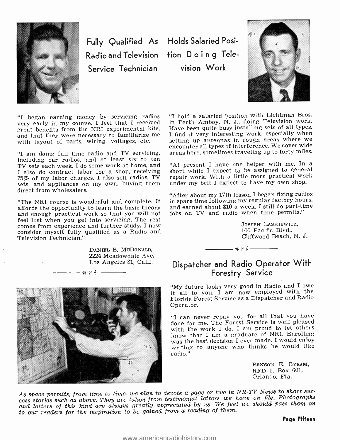

Fully Qualified As Holds Salaried Posi-Radio and Television tion Doing Tele-Service Technician

vision Work



"I began earning money by servicing radios very early in my course. I feel that I received great benefits from the NRI experimental kits, and that they were necessary to familiarize me with layout of parts, wiring, voltages, etc.

"I am doing full time radio and TV servicing, including car radios, and at least six to ten<br>TV sets each week I do some work at home, and "At present I have one helper with me. In a TV sets each week. I do some work at home, and I also do contract labor for a shop, receiving 75% of my labor charges. I also sell radios, TV sets, and appliances on my own, buying them direct from wholesalers.

"The NRI course is wonderful and complete. It affords the opportunity to learn the basic theory and enough practical work so that you will not<br>feel lost when you get into servicing. The rest feel lost when you get into servicing. The rest comes from experience and further study. I now consider myself fully qualified as a Radio and Television Technician."

> DANIEL B. McDoNALD, 2224 Meadowdale Ave., Los Angeles 31, Calif.<br>  $\boldsymbol{n} \cdot \boldsymbol{i}$

"I hold a salaried position with Lichtman Bros. in Perth Amboy, N. J., doing Television work. Have been quite busy installing sets of all types. I find it very interesting work, especially when setting up antennas in rough areas where we encounter all types of interference. We cover wide areas here, sometimes traveling up to forty miles.

short while I expect to be assigned to general repair work. With a little more practical work under my belt I expect to have my own shop.

"After about my 17th lesson I began fixing radios in spare time following my regular factory hours, and earned about \$10 a week. I still do part-time jobs on TV and radio when time permits."

> JOSEPH LASKIEWICZ, 100 Pacific Blvd., Cliffwood Beach, N. J.

### Dispatcher and Radio Operator With Forestry Service

nri

"My future looks very good in Radio and I owe it all to you. I am now employed with the Florida Forest Service as a Dispatcher and Radio Operator.

"I can never repay you for all that you have done for me. The Forest Service is well pleased with the work I do. I am proud to let others know that I am a graduate of NRI. Enrolling was the best decision I ever made. I would enjoy writing to anyone who thinks he would like radio."

> BENSON E. BYRAM, RFD 1, Box 601, Orlando, Fla.

As space permits, from time to time, we plan to devote a page or two in NR -TV News to short suc- cess stories such as above. They are taken from testimonial letters we have on file. Photographs and letters of this kind are always greatly appreciated by us. We feel we should pass them on to our readers for the inspiration to be gained from a reading of them.

Page Fifteen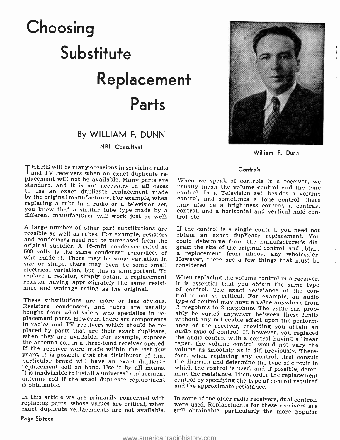# Choosing **Substitute** Replacement Parts

#### By WILLIAM F. DUNN

#### NRI Consultant

THERE will be many occasions in servicing radio<br>
and TV receivers when an exact duplicate re-<br>
placement will not be available. Many parts are<br>
standard, and it is not necessary in all cases<br>
to use an exact duplicate repl by the original manufacturer. For example, when replacing a tube in a radio or a television set, you know that a similar tube type made by a control, different manufacturer will work just as well. trol, etc.

A large number of other part substitutions are If the control is a single control, you need not possible as well as tubes. For example, resistors obtain an exact duplicate replacement. You and condensers need not be purcha original supplier. A .05-mfd. condenser rated at gram the size of the original control, and obtain<br>600 volts is the same condenser regardless of a replacement from almost any wholesaler. who made it. There may be some variation in However, t size or shape, there may even be some small considered. electrical variation, but this is unimportant. To<br>replace a resistor, simply obtain a replacement<br>resistor having approximately the same resist-<br>ance and wattage rating as the original.

bought from wholesalers who specialize in re-<br>ably be varied anywhere between these limits<br>placement parts. However, there are components without any noticeable effect upon the perform-<br>in radios and TV receivers which sho particular brand will have an exact duplicate<br>replacement coil on hand. Use it by all means. which the control is used, and if possible, deter-<br>It is inadvisable to install a universal replacement<br>antenna coil if the exact is obtainable.

In this article we are primarily concerned with In some of the older radio receivers, dual controls<br>replacing parts, whose values are critical, when were used. Replacements for these receivers are<br>exact duplicate replaceme exact duplicate replacements are not available.



William F. Dunn

#### Controls

When we speak of controls in a receiver, we may also be a brightness control, a contrast control, and a horizontal and vertical hold con-

could determine from the manufacturer's dia-However, there are a few things that must be

These substitutions are more or less obvious. type of control may have a value anywhere from<br>Resistors, condensers, and tubes are usually 1 megohms to 2 megohms. The value can prob-When replacing the volume control in a receiver, it is essential that you obtain the same type of control. The exact resistance of the control is not so critical. For example, an audio type of control may have a value anywhere from ance of the receiver, providing you obtain an *audio type* of control. If, however, you replaced

> In some of the older radio receivers, dual controls were used. Replacements for these receivers are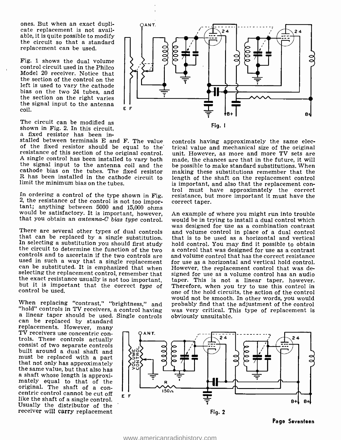ones. But when an exact dupli- cate replacement is not available, it is quite possible to modify the circuit so that a standard replacement can be used.

Fig. 1 shows the dual volume control circuit used in the Philco Model 20 receiver. Notice that the section of the control on the left is used to vary the cathode bias on the two 24 tubes, and the section on the right varies the signal input to the antenna  $\begin{array}{cc} I & I \\ E & F \end{array}$ coil. E F

The circuit can be modified as shown in Fig. 2. In this circuit, a fixed resistor has been in-

stalled between terminals  $E$  and  $F$ . The value controls having approximately the same elector should be equal to the trical value and mechanical size of the original of the fixed resistor should be equal to the resistance of this section of the original control.<br>A single control has been installed to vary both the signal input to the antenna coil and the cathode bias on the tubes. The fixed resistor <sup>R</sup>has been installed in the cathode circuit to limit the minimum bias on the tubes.

In ordering a control of the type shown in Fig. resistance, but more important it must have the 2, the resistance of the control is not too impor-<br>tant; anything between 5000 and 15,000 ohms<br>would be satisfactory. It is i

There are several other types of dual controls<br>that can be replaced by a single substitution.<br>In selecting a substitution you should first study<br>the circuit to determine the function of the two<br>controls and to ascertain i

When replacing "contrast," "brightness," and "hold" controls in TV receivers, a control having a linear taper should be used. Single controls can be replaced by standard replacements. However, many

TV receivers use concentric con-<br>trols. These controls actually<br>consist of two separate controls built around a dual shaft and<br>must be replaced with a part that not only has approximately<br>the same value, but that also has<br>a shaft whose length is approxi-<br>mately equal to that of the original. The shaft of a con-<br>centric control cannot be cut off like the shaft of a single control. Usually the distributor of the receiver will carry replacement



controls having approximately the same elecunit. However, as more and more TV sets are made, the chances are that in the future, it will be possible to make standard substitutions. When making these substitutions remember that the length of the shaft on the replacement control<br>is important, and also that the replacement control must have approximately the correct resistance, but more important it must have the correct taper.

An example of where you might run into trouble was designed for use as a combination contrast and volume control in place of a dual control that is to be used as a horizontal and vertical hold control. You may find it possible to obtain a control that was designed for use as a contrast and volume control that has the correct resistance for use as a horizontal and vertical hold control. However, the replacement control that was designed for use as a volume control has an audio taper. This is not a linear taper, however. one of the hold circuits, the action of the control would not be smooth. In other words, you would was very critical. This type of replacement is obviously unsuitable.

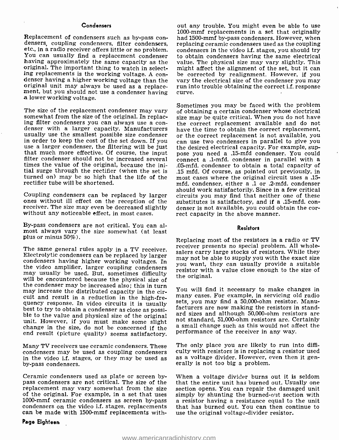#### Condensers

You can usually find a replacement condenser having approximately the same capacity as the original. The important thing to watch in select-<br>ing replacements is the working voltage. A coning replacements is the working voltage. A con-<br>denser having a higher working voltage than the vary the electrical size of the condenser you may<br>original unit may always be used as a replace- run into trouble obtaining th a lower working voltage.

usually use the smallest possible size condenser  $\sigma$  or the correct replacement is not available, you<br>in order to keep the cost of the set down. If you seen use two condensers in parallel to give you use a larger condenser, the filtering will be just the desired electrical capacity. For example, sup-<br>that much more effective. Of course, the input pose you need a .15-mfd condenser. You could<br>filter condenser should not times the value of the original, because the initial surge through the rectifier (when the set is turned on) may be so high that the life of the rectifier tube will be shortened.

receiver. The size may even be decreased slightly<br>without any noticeable effect, in most cases.<br>By-pass condensers are not critical. You can al-

most always vary the size somewhat (at least plus or minus  $50\%$ ).

The same general rules apply in a TV receiver. Electrolytic condensers can be replaced by larger condensers having higher working voltages. In the video amplifier, larger coupling condensers may usually be used. But, sometimes difficulty will be encountered because the physical size of the condenser may be increased also; this in turn may increase the distributed capacity in the circuit and result in a reduction in the high-frequency response. In video circuits it is usually<br>best to try to obtain a condenser as close as possi-<br>facturers are now making the resistors in stand-<br>best to try to obtain a condenser as close as possi-<br>ard sizes and alth end result (picture quality) seems satisfactory.

condensers may be used as coupling condensers in the video i.f. stages, or they may be used as by -pass condensers.

Ceramic condensers used as plate or screen bypass condensers are not critical. The size of the that the entire unit has burned out. Usually one replacement may vary somewhat from the size section opens. You can repair the damaged unit replacement may vary somewhat from the size of the original. For example, in a set that uses is simply by shunting the burned-out section with 1000-mmf ceramic condensers as screen by-pass is a resistor having a resistance equal to the unit condensers on the video i can be made with 1500-mmf replacements with-

Replacement of condensers such as by-pass con-<br>densers, coupling condensers, filter condensers, replacing ceramic condensers used as the coupling<br>etc., in a radio receiver offers little or no problem. condensers in the vid out any trouble. You might even be able to use 1000-mmf replacements in a set that originally condensers in the video i.f. stages, you should try to obtain condensers having the same electrical value. The physical size may vary slightly. This might affect the alignment of the set, but it can vary the electrical size of the condenser you may

The size of the replacement condenser may vary of obtaining a certain condenser whose electrical somewhat from the size of the original. In replac- ing filter condensers you can always use a con-<br>the correct replacement av Coupling condensers can be replaced by larger circuits you may find that neither one of these ones without ill effect on the reception of the substitutes is satisfactory, and if a .15-mfd. con-Sometimes you may be faced with the problem of obtaining a certain condenser whose electrical size may be quite critical. When you do not have the correct replacement available and do not can use two condensers in parallel to give you pose you need a .15 -mfd condenser. You could connect a .1 -mfd. condenser in parallel with a .05-mfd. condenser to obtain a total capacity of .15 mfd. Of course, as pointed out previously, in most cases where the original circuit uses a .15 mfd. condenser, either a .1 or .2 -mfd. condenser should work satisfactorily. Since in a few critical circuits you may find that neither one of these denser is not available, you could obtain the cor-<br>rect capacity in the above manner.

#### Resistors

Replacing most of the resistors in a radio or TV receiver presents no special problem. All wholesalers carry large stocks of resistors. While they may not be able to supply you with the exact size you want, they can usually provide a suitable resistor with a value close enough to the size of the original.

You will find it necessary to make changes in many cases. For example, in servicing old radio sets, you may find a 50,000-ohm resistor. Manufacturers are now making the resistors in standard sizes and although 50,000 -ohm resistors are not standard, 51,000-ohm resistors are. Certainly performance of the receiver in any way.

Many TV receivers use ceramic condensers. These — The-only-place-you-are-likely-to-run-into-diffi-<br>condensers may be used as coupling condensers — culty with resistors is in replacing a resistor used The only place you are likely to run into diffias a voltage divider. However, even then it generally is not too big a problem.

> When a voltage divider burns out it is seldom that the entire unit has burned out. Usually one. a resistor having a resistance equal to the unit that has burned out. You can then continue to use the original voltage-divider resistor.

#### Page Eighteen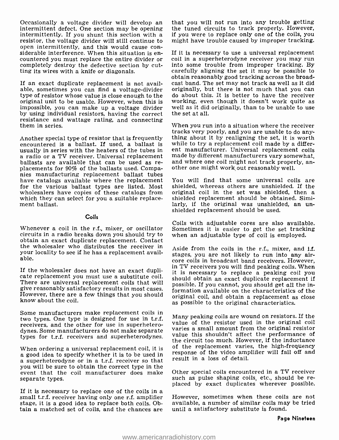Occasionally a voltage divider will develop an intermittent defect. One section may be opening intermittently. If you shunt this section with a resistor, the voltage divider will still continue to intermittently. If you sh siderable interference. When this situation is encountered you must replace the entire divider or completely destroy the defective section by cutting its wires with a knife or diagonals.

If an exact duplicate replacement is not available, sometimes you can find a voltage-divider originally, but there is not much that you can type of resistor whose value is close enough to the original unit to be usable. However, when this is working, even though it doesn't work quite as impossible, you can make up a voltage divider well as it did originally, than to be unable to use impossible, you can make up a voltage divider by using individual resistors, having the correct resistance and wattage rating, and connecting them in series.

Another special type of resistor that is frequently thing about it by realigning the set, it is worth encountered is a ballast. If used, a ballast is while to try a replacement coil made by a differ-<br>usually in series with a radio or a TV receiver. Universal replacement<br>ballasts are available that can be used as re-<br>placements for 90% of the ballasts used. Companies manufacturing replacement ballast tubes have catalogs available where the replacement You will find that some universal coils are<br>for the various ballast types are listed. Most shielded, whereas others are unshielded. If the<br>wholesalers have copies of these cata wholesalers have copies of these catalogs from which they can select for you a suitable replacement ballast.

#### Coils

Whenever a coil in the r.f., mixer, or oscillator Sometimes it is easier to get the set tracking circuits in a radio breaks down you should try to obtain an exact duplicate replacement. Contact the wholesaler who distributes the receiver in your locality to see if he has a replacement available.

If the wholesaler does not have an exact dupli-<br>it is necessary to replace a peaking coil you<br>cate replacement you must use a substitute coil.<br>should obtain an exact duplicate replacement if There are universal replacement coils that will give reasonably satisfactory results in most cases. However, there are a few things that you should know about the coil.

Some manufacturers make replacement coils in two types. One type is designed for use in t.r.f. receivers, and the other for use in superheterodynes. Some manufacturers do not make separate types for t.r.f. receivers and superheterodynes.

When ordering a universal replacement coil, it is a good idea to specify whether it is to be used in a superheterodyne or in a t.r.f. receiver so that you will be sure to obtain the correct type in the event that the coil manufacturer does make separate types.

If it is necessary to replace one of the coils in a small t.r.f. receiver having only one r.f. amplifier stage, it is a good idea to replace both coils. Obtain a matched set of coils, and the chances are that you will not run into any trouble getting if you were to replace only one of the coils, you might have trouble caused by improper tracking.

If it is necessary to use a universal replacement coil in a superheterodyne receiver you may run<br>into some trouble from improper tracking. By carefully aligning the set it may be possible to obtain reasonably good tracking across the broadcast band. The set may not track as well as it did do about this. It is better to have the receiver working, even though it doesn't work quite as

When you run into a situation where the receiver tracks very poorly, and you are unable to do anywhile to try a replacement coil made by a different manufacturer. Universal replacement coils and where one coil might not track properly, an-<br>other one might work out reasonably well.

You will find that some universal coils are shielded, whereas others are unshielded. If the shielded replacement should be obtained. Similarly, if the original was unshielded, an un-<br>shielded replacement should be used.

Coils with adjustable cores are also available. when an adjustable type of coil is employed.

Aside from the coils in the r.f., mixer, and i.f. stages, you are not likely to run into any aircore coils in broadcast band receivers. However, in TV receivers you will find peaking coils. When it is necessary to replace a peaking coil you possible. If you cannot, you should get all the information available on the characteristics of the original coil, and obtain a replacement as close as possible to the original characteristics.

Many peaking coils are wound on resistors. If the value of the resistor used in the original coil varies a small amount from the original resistor value this shouldn't affect the performance of the circuit too much. However, if the inductance of the replacement varies, the high-frequency response of the video amplifier will fall off and result in a loss of detail.

Other special coils encountered in a TV receiver such as pulse shaping coils, etc., should be re-<br>placed by exact duplicates wherever possible.

However, sometimes when these coils are not available, a number of similar coils may be tried until a satisfactory substitute is found.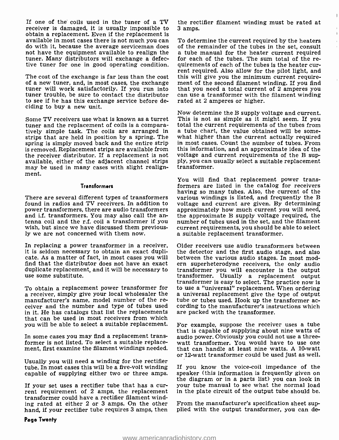If one of the coils used in the tuner of a TV receiver is damaged, it is usually impossible to obtain a replacement. Even if the replacement is available in most cases there is not much you can To determine the current required by the heaters<br>do with it, because the average serviceman does of the remainder of the tubes in the set, consult<br>not have the equipment av not have the equipment available to realign the a tube manual for the heater current required<br>tuner, Many distributors will exchange a defec- for each of the tubes. The sum total of the retuner. Many distributors will exchange a defective tuner for one in good operating condition. quirements of each of the tubes is the heater cur-

The cost of the exchange is far less than the cost of a new tuner, and, in most cases, the exchange ment of the second filament winding. If you find<br>tuner will work satisfactorily. If you run into that you need a total current of 2 amperes you tuner trouble, be sure to contact the distributor can use a transformer with th to see if he has this exchange service before de-<br>rated at 2 amperes or higher. to see if he has this exchange service before deciding to buy a new unit.

Some TV receivers use what is known as a turret This is not as simple as it might seem. If you tuner and the replacement of coils is a compara-<br>total the current requirements of the tubes from tuner and the replacement of coils is a comparatively simple task. The coils are arranged in a tube chart, the value obtained will be somestrips that are held in position by a spring. The spring is simply moved back and the entire strip is removed. Replacement strips are available from the receiver distributor. If a replacement is not voltage and current requirements of the B sup-<br>available, either of the adjacent channel strips ply, you can usually select a suitable replacement available, either of the adjacent channel strips ply, you can u<br>may be used in many cases with slight realign- transformer. may be used in many cases with slight realignment.

#### Transformers

There are several different types of transformers found in radios and TV receivers. In addition to voltage and current are given. By determining power transformers, there are audio transformers approximately how much current you will need, power transformers, there are audio transformers and i.f. transformers. You may also call the an- tenna coil and the r.f. coil a transformer if you wish, but since we have discussed them previously we are not concerned with them now.

In replacing a power transformer in a receiver, it is seldom necessary to obtain an exact duplicate. As a matter of fact, in most cases you will find that the distributor does not have an exact duplicate replacement, and it will be necessary to use some substitute.

manufacturer's name, model number of the re-<br>ceiver and the number and type of tubes used cording to the manufacturer's instructions which in it. He has catalogs that list the replacements that can be used in most receivers from which you will be able to select a suitable replacement.

In some cases you may find a replacement transformer is not listed. To select a suitable replace-

Usually you will need a winding for the rectifier tube. In most cases this will be a five-volt winding If you know the voice-coil impedance of the capable of supplying either two or three amps. speaker (this information is frequently given on capable of supplying either two or three amps.

If your set uses a rectifier tube that has a cur- rent requirement of 2 amps, the replacement transformer could have a rectifier filament winding rated at either 2 or 3 amps. On the other From the manufacturer's specification sheet suphand, if your rectifier tube requires 3 amps, then plied with the output transformer, you can dehand, if your rectifier tube requires 3 amps, then

the rectifier filament winding must be rated at 3 amps.

 $\mathbf{I}$ 

 $\mathbf{r}$ 

To determine the current required by the heaters rent required. Also allow for the pilot light, and this will give you the minimum current requirement of the second filament winding. If you find can use a transformer with the filament winding

Now determine the B supply voltage and current. what higher than the current actually required in most cases. Count the number of tubes. From this information, and an approximate idea of the voltage and current requirements of the B sup-

You will find that replacement power transformers are listed in the catalog for receivers having so many tubes. Also, the current of the various windings is listed, and frequently the B voltage and current are given. By determining the approximate B supply voltage required, the number of tubes used in the set, and the filament current requirements, you should be able to select a suitable replacement transformer.

transformer is easy to select. The practice now is<br>a receiver, simply give your local wholesaler the a universal replacement give the type of output<br>manufacturer's name, model number of the re-<br>tube or tubes used. Hook up Older receivers use audio transformers between the detector and the first audio stage, and also between the various audio stages. In most modern superheterodyne receivers, the only audio transformer you will encounter is the output transformer. Usually a replacement output to use a "universal" replacement. When ordering are packed with the transformer.

ment, first examine the filament windings needed. that can handle at least nine watts. A 10-watt or 12-watt transformer could be used just as well. For example, suppose the receiver uses a tube that is capable of supplying about nine watts of watt transformer. You would have to use one

> If you know the voice -coil impedance of the the diagram or in a parts list) you can look in your tube manual to see what the normal load in the plate circuit of the output tube should be.

> From the manufacturer's specification sheet sup-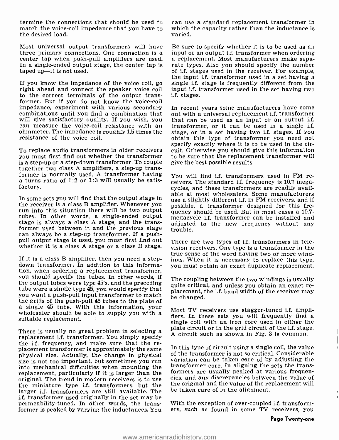termine the connections that should be used to match the voice -coil impedance that you have to the desired load.

Most universal output transformers will have Be sure to specify whether it is to be used as an three primary connections. One connection is a input or an output i.f. transformer when ordering center tap when push-pull amplifiers are used. a replacement. Most manufacturers make sepa-In a single-ended output stage, the center tap is rate types. Also you should specify the number taped up—it is not used. taped up-it is not used.

If you know the impedance of the voice coil, go single i.f. stage is frequently different from the right ahead and connect the speaker voice coil input i.f. transformer used in the set having two to the correct terminals of the output transformer. But if you do not know the voice-coil<br>impedance, experiment with various secondary In recent years some manufacturers have come impedance, experiment with various secondary combinations until you find a combination that can measure the voice-coil resistance with an transformer, or it can be used in a single i.f.<br>ohmmeter. The impedance is roughly 1.5 times the stage, or in a set having two i.f. stages. If you<br>obtain this type of transform resistance of the voice coil.

To replace audio transformers in older receivers you must first find out whether the transformer is a step-up or a step-down transformer. To couple together two class A amplifiers, a step-up transformer is normally used. A transformer having a turns ratio of 1:2 or 1:3 will usually be satisfactory.

the receiver is a class B amplifier. Whenever you run into this situation there will be two output  $\frac{1}{2}$  and  $\frac{1}{2}$  and  $\frac{1}{2}$  and  $\frac{1}{2}$  and  $\frac{1}{2}$  and  $\frac{1}{2}$  and  $\frac{1}{2}$  and  $\frac{1}{2}$  and  $\frac{1}{2}$  and  $\frac{1}{2}$  and  $\frac{1}{2}$  and  $\frac{1}{2}$  and  $\frac{$ stage is always a class A stage, and the transformer used between it and the previous stage trouble.<br>can always be a step-up transformer. If a pushpull output stage is used, you must first find out whether it is a class A stage or a class B stage.

If it is a class B amplifier, then you need a step-<br>down transformer. In addition to this information, when ordering a replacement transformer, you should specify the tubes. In other words, if The coupling between the two windings is usually the output tubes were type 45's, and the preceding cuite opinion and unless were two  $\frac{1}{2}$ tube were a single type  $45$ , you would specify that  $\frac{u_{\text{unc}}}{p_{\text{line}}}\frac{v_{\text{unc}}}{v_{\text{line}}}\frac{v_{\text{line}}}{v_{\text{line}}}\frac{v_{\text{line}}}{v_{\text{line}}}\frac{v_{\text{line}}}{v_{\text{line}}}\frac{v_{\text{line}}}{v_{\text{line}}}\frac{v_{\text{line}}}{v_{\text{line}}}\frac{v_{\text{line}}}{v_{\text{line}}}\frac{v_{\text{line}}}{v_{\text{line}}}\frac{v_{$ you want a push-pull input transformer to match<br>the grids of the push-pull 45 tubes to the plate of<br>the grids of the push-pull 45 tubes to the plate of a single 45 tube. With this information, your wholesaler should be able to supply you with a suitable replacement.

There is usually no great problem in selecting a<br>replacement i.f. transformer. You simply specify<br>the i.f. frequency, and make sure that the re-<br>placement transformer is approximately the same<br>physical size. Actually, the size is not too important, but sometimes you run into mechanical difficulties when mounting the replacement, particularly if it is larger than the original. The trend in modern receivers is to use the miniature type i.f. transformers, but the larger i.f. transformers are still available. The i.f. transformer used originally in the set may be permeability- tuned. In other words, the transformer is peaked by varying the inductances. You can use a standard replacement transformer in which the capacity rather than the inductance is varied.

rate types. Also you should specify the number the input i.f. transformer used in a set having a input i.f. transformer used in the set having two i.f. stages.

out with a universal replacement i.f. transformer that can be used as an input or an output i.f. transformer, or it can be used in a single i.f. stage, or in a set having two i.f. stages. If you specify exactly where it is to be used in the circuit. Otherwise you should give this information to be sure that the replacement transformer will give the best possible results.

able at most wholesalers. Some manufacturers<br>In some sets you will find that the output stage in such a slightly different if in FM receivers and if You will find i.f. transformers used in FM re-<br>ceivers. The standard i.f. frequency is 10.7 megacycles, and these transformers are readily availuse a slightly different i.f. in FM receivers, and if possible, a transformer designed for this fremegacycle i.f. transformer can be installed and adjusted to the new frequency without any

> There are two types of i.f. transformers in television receivers. One type is a transformer in the true sense of the word having two or more windings. When it is necessary to replace this type, you must obtain an exact duplicate replacement.

> quite critical, and unless you obtain an exact re-

Most TV receivers use stagger -tuned i.f. amplifiers. In these sets you will frequently find a single coil with an iron core used in either the plate circuit or in the grid circuit of the i.f. stage. A circuit such as shown in Fig. 3 is common.

In this type of circuit using a single coil, the value of the transformer is not so critical. Considerable variation can be taken care of by adjusting the transformer core. In aligning the sets the transformers are usually peaked at various frequencies, and any discrepancies between the value of the original and the value of the replacement will be taken care of in the alignment.

With the exception of over -coupled i.f. transformers, such as found in some TV receivers, you  $\mathbf{I}$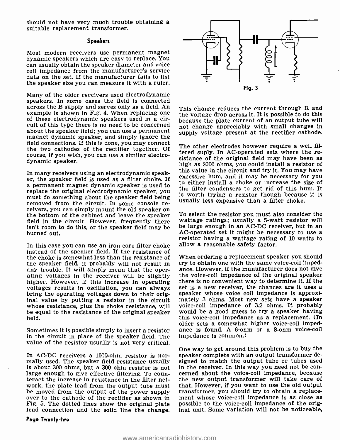should not have very much trouble obtaining a suitable replacement transformer.

#### Speakers

Most modern receivers use permanent magnet dynamic speakers which are easy to replace. You can usually obtain the speaker diameter and voice coil impedance from the manufacturer's service data on the set. If the manufacturer fails to list the speaker size you can measure it with a ruler.

Many of the older receivers used electrodynamic speakers. In some cases the field is connected across the B supply and serves only as a field. An example is shown in Fig. 4. When replacing one of these electrodynamic speakers used in a circuit of this type there is no need to be concerned about the speaker field; you can use a permanent magnet dynamic speaker, and simply ignore the field connections. If this is done, you may connect the two cathodes of the rectifier together. Of course, if you wish, you can use a similar electrodynamic speaker.

In many receivers using an electrodynamic speaker, the speaker field is used as a filter choke. If a permanent magnet dynamic speaker is used to replace the original electrodynamic speaker, you must do something about the speaker field being<br>removed from the circuit. In some console re-<br>ceivers, you can simply mount the old speaker on<br>the bottom of the cabinet and leave the speaker<br>field in the circuit. However, isn't room to do this, or the speaker field may be be large enough in an AC-DC receiver, but in an<br>AC-operated set it might be necessary to use a burned out.

In this case you can use an iron core filter choke instead of the speaker field. If the resistance of the choke is somewhat less than the resistance of When ordering a replacement speaker you should<br>the speaker field, it probably will not result in try to obtain one with the same voice-coil impedthe speaker field, it probably will not result in<br>any trouble. It will simply mean that the operating voltages in the receiver will be slightly the voice-coil impedance of the original speaker<br>higher. However, if this increase in operating there is no convenient way to determine it. If the<br>voltages results in oscilla whose resistance, plus the choke resistance, will be equal to the resistance of the original speaker field.

in the circuit in place of the speaker field. The value of the resistor usually is not very critical.

In AC-DC receivers a 1000-ohm resistor is nor-<br>mally used. The speaker field resistance usually signed to match the output tube or tubes used<br>is about 300 ohms, but a 300 ohm resistor is not in the receiver. In this way yo is about 300 ohms, but a 300 ohm resistor is not large enough to give effective filtering. To counteract the increase in resistance in the filter network, the plate lead from the output tube must that. However, if you want to use the old output<br>be moved from the output of the power supply transformer, you should try to obtain a replacebe moved from the output of the power supply transformer, you should try to obtain a replace-<br>over to the cathode of the rectifier as shown in ment whose voice-coil impedance is as close as<br>Fig. 5. The dotted lines show th lead connection and the solid line the change.



This change reduces the current through R and the voltage drop across it. It is possible to do this because the plate current of an output tube will not change appreciably with small changes in supply voltage present at the rectifier cathode.

The other electrodes however require a well filtered suply. In AC-operated sets where the re-<br>sistance of the original field may have been as high as 2000 ohms, you could install a resistor of this value in the circuit and try it. You may have excessive hum, and it may be necessary for you to either install a choke or increase the size of the filter condensers to get rid of this hum. It is worth trying a resistor though because it is usually less expensive than a filter choke.

To select the resistor you must also consider the wattage ratings; usually a 5-watt resistor will be large enough in an AC-DC receiver, but in an AC-operated set it might be necessary to use a resistor having a wattage rating of 10 watts to allow a reasonable safety factor.

Sometimes it is possible simply to insert a resistor ance is found. A 6-ohm or a 8-ohm voice-coil When ordering a replacement speaker you should ance. However, if the manufacturer does not give the voice-coil impedance of the original speaker set is a new receiver, the chances are it uses a voice -coil impedance of 3.2 ohms. It probably would be a good guess to try a speaker having this voice -coil impedance as a replacement. (In older sets a somewhat higher voice-coil impedimpedance is common.)

> One way to get around this problem is to buy the speaker complete with an output transformer designed to match the output tube or tubes used cerned about the voice-coil impedance, because the new output transformer will take care of that. However, if you want to use the old output ment whose voice-coil impedance is as close as inal unit. Some variation will not be noticeable,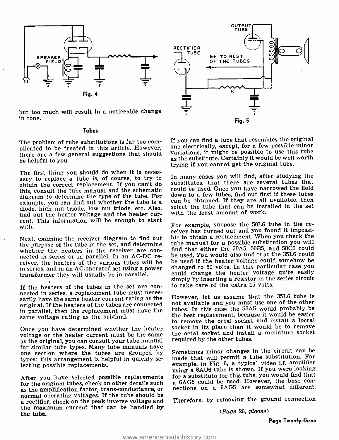

but too much will result in a noticeable change in tone.

#### Tubes

there are a few general suggestions that should be helpful to you.

The first thing you should do when it is neces- sary to replace a tube is, of course, to try to obtain the correct replacement. If you can't do this, consult the tube manual and the schematic could be used. Once you have narrowed the field<br>diagram to determine the type of the tube For down to a few tubes, find out first if these tubes diagram to determine the type of the tube. For example, you can find out whether the tube is a diode, high mu triode, low mu triode, etc. Also, find out the heater voltage and the heater cur- rent. This information will be enough to start with.

Next, examine the receiver diagram to find out the purpose of the tube in the set, and determine whether the heaters in the receiver are con-<br>nected in series or in parallel. In an AC-DC re-<br>reiver, the heaters of the various tubes will be in series, and in an AC-operated set using a power transformer they will usually be in parallel.

If the heaters of the tubes in the set are con- nected in series, a replacement tube must neces- sarily have the same heater current rating as the original. If the heaters of the tubes are connected in parallel, then the replacement must have the same voltage rating as the original.

as the original, you can consult your tube manual<br>for similar tube types. Many tube manuals have one section where the tubes are grouped by types; this arrangement is helpful in quickly se- lecting possible replacements.

for the amplification factor, trans-conductance, or<br>normal operating voltages. If the tube should be<br>a rectifier, check on the peak inverse voltage and Therefore, by removing the ground connection<br>a rectifier, check on the the maximum current that can be handled by the tube.



The problem of tube substitutions is far too com-<br>plicated to be treated in this article. However, one electrically, except, for a few possible minor<br>there are a few general suggestions that should variations, it might be If you can find a tube that resembles the original as the substitute. Certainly it would be well worth trying if you cannot get the original tube.

> In many cases you will find, after studying the substitutes, that there are several tubes that could be used. Once you have narrowed the field can be obtained. If they are all available, then select the tube that can be installed in the set with the least amount of work.

> For example, suppose the 50L6 tube in the re- ceiver has burned out and you found it impossible to obtain a replacement. When you check the tube manual for a possible substitution you will find that either the 50A5, 50B5, and 5005 could be used. You would also find that the 35L6 could be used if the heater voltage could somehow be changed to 50 volts. In this particular case you could change the heater voltage quite easily simply by inserting a resistor in the series circuit to take care of the extra 15 volts.

Once you have determined whether the heater socket in its place than it would be to remove<br>voltage or the heater current must be the same the octal socket and install a miniature socket However, let us assume that the 35L6 tube is not available and you must use one of the other tubes. In this case the 50A5 would probably be the best replacement, because it would be easier to remove the octal socket and install a loctal socket in its place than it would be to remove required by the other tubes.

After you have selected possible replacements for a substitute for this tube, you would find that<br>for the original tubes, check on other details such a 6AG5 could be used. However, the base con-Sometimes minor changes in the circuit can be made that will permit a tube substitution. For example, in Fig. 6, a typical video i.f. amplifier using a 6AU6 tube is shown. If you were looking for a substitute for this tube, you would find that

Therefore, by removing the ground connection

(Page 26, please)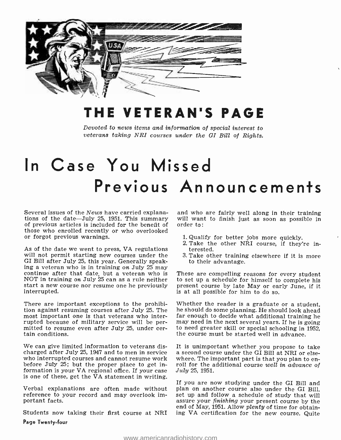

### THE VETERAN'S PAGE

Devoted to news items and information of special interest to veterans taking NRI courses under the GI Bill of Rights.

## In Case You Missed Previous Announcements

of previous articles is included for the benefit of those who enrolled recently or who overlooked or forgot previous warnings.

As of the date we went to press, VA regulations will not permit starting new courses under the GI Bill after July 25, this year. Generally speak-<br>ing a veteran who is in training on July 25 may<br>continue after that date, but a veteran who is T NOT in training on July 25 can as a rule neither start a new course nor resume one he previously interrupted.

There are important exceptions to the prohibi-<br>tion against resuming courses after July 25. The he should do some planning. He should look ahead<br>most important one is that veterans who inter- far enough to decide what addi most important one is that veterans who inter-<br>rupted because of military service will be permitted to resume even after July 25, under certain conditions.

We can give limited information to veterans discharged after July 25, 1947 and to men in service a second course under the GI Bill at NRI or else-<br>who interrupted courses and cannot resume work where. The important part is that you plan to enwho interrupted courses and cannot resume work before July 25; but the proper place to get information is your VA regional office. If your case is one of these, get the VA statement in writing.

Verbal explanations are often made without reference to your record and may overlook important facts.

Students now taking their first course at NRI Page Twenty -four

Several issues of the News have carried explana- and who are fairly well along in their training tions of the date -July 25, 1951. This summary will want to finish just as soon as possible in will want to finish just as soon as possible in order to:

- 1. Qualify for better jobs more quickly.
- 2. Take the other NRI course, if they're interested.
- 3. Take other training elsewhere if it is more to their advantage.

These are compelling reasons for every student to set up a schedule for himself to complete his present course by late May or early June, if it is at all possible for him to do so.

he should do some planning. He should look ahead<br>far enough to decide what additional training he<br>may need in the next several years. If he is going to need greater skill or special schooling in 1952,<br>the course must be started well in advance.

It is unimportant whether you propose to take roll for the additional course well in advance of July 25, 1951.

If you are now studying under the GI Bill and plan on another course also under the GI Bill, set up and follow a schedule of study that will assure your *finishing* your present course by the end of May, 1951. Allow plenty of time for obtaining VA certification for the new course. Quite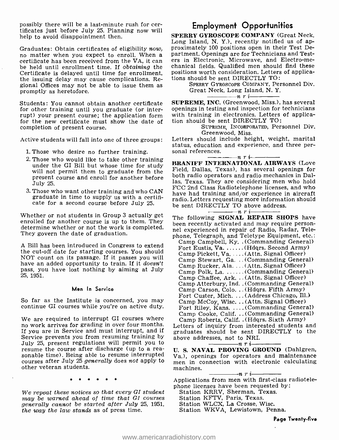possibly there will be a last- minute rush for cer- tificates just before July 25. Planning now will help to avoid disappointment then.

certificate has been received from the VA, it can be held until enrollment time. If obtaining the Certificate is delayed until time for enrollment, the issuing delay may cause complications. Regional Offices may not be able to issue them as promptly as heretofore.

Students: You cannot obtain another certificate for other training until you graduate (or interrupt) your present course; the application form for the new certificate must show the date of completion of present course.

Active students will fall into one of three groups:

- 1. Those who desire no further training.
- 2. Those who would like to take other training under the GI Bill but whose time for study will not permit them to graduate from the present course and enroll for another before July 25.
- 3. Those who want other training and who CAN graduate in time to supply us with a certificate for a second course before July 25.

Whether or not students in Group 3 actually get enrolled for another course is up to them. They determine whether or not the work is completed. They govern the date of graduation.

A Bill has been introduced in Congress to extend the cut -off date for starting courses. You should NOT count on its passage. If it passes you will have an added opportunity to train. If it doesn't pass, you have lost nothing by aiming at July 25, 1951.

#### Men In Service

So far as the Institute is concerned, you may continue GI courses while you're on active duty.

We are required to interrupt GI courses where no work arrives for grading in over four months. If you are in Service and must interrupt, and if Service prevents you from resuming training by July 25, present regulations will permit you to resume the course after discharge (up to a reacourses after July 25 generally does not apply to result connection with electronic calculating other veteran students.

 $\begin{array}{cccccccccccccc} \bullet & \bullet & \bullet & \bullet & \bullet & \bullet & \bullet & \bullet & \bullet \end{array}$ 

phone licenses have been requested by:<br>We repeat these notices so that every GI student Station KRRV, Sherman, Texas. may be warned ahead of time that GI courses generally cannot be started after July 25, 1951, the way the law stands as of press time.

#### Employment Opportunities

Graduates: Obtain certificates of eligibility now, proximately 100 positions open in their Test De-<br>no matter when you expect to enroll. When a partment. Openings are for Technicians and Test-<br>certificate has been received SPERRY GYROSCOPE COMPANY (Great Neck, Long Island, N. Y.), recently notified us of appartment. Openings are for Technicians and Testchanical fields. Qualified men should find these positions worth consideration. Letters of applications should be sent DIRECTLY TO:

> SPERRY GYROSCOPE COMPANY, Personnel Div. Great Neck, Long Island, N. Y.

SUPREME, INC. (Greenwood, Miss.), has several openings in testing and inspection for technicians with training in electronics. Letters of application should be sent DIRECTLY TO:

SUPREME, INCORPORATED, Personnel Div. Greenwood, Miss.

Letters should include height, weight, marital status, education and experience, and three per-<br>sonal references.<br> $\frac{n}{1-\frac{1}{n}}$   $\frac{n}{1-\frac{1}{n}}$ 

BRANIFF INTERNATIONAL AIRWAYS (Love Field, Dallas, Texas), has several openings for both radio operators and radio mechanics in Dallas, Texas. They are considering men who hold FCC 2nd Class Radiotelephone licenses, and who have had training and /or experience in aircraft radio. Letters requesting more information should be sent DIRECTLY TO above address.

The following SIGNAL REPAIR SHOPS have been recently activated and may require personnel experienced in repair of Radio, Radar, Telephone, Telegraph, and Teletype Equipment, etc.:

| Camp Campbell, Ky. (Commanding General)     |
|---------------------------------------------|
| Fort Eustis, Va.  (Hdqrs. Second Army)      |
| Camp Pickett, Va. (Attn. Signal Officer)    |
| Camp Stewart, Ga. (Commanding General)      |
| Camp Rucker, Ala. (Attn. Signal Officer)    |
| Camp Polk, La.  (Commanding General)        |
| Camp Chaffee, Ark. . (Attn. Signal Officer) |
| Camp Atterbury, Ind. . (Commanding General) |
| Camp Carson, Colo. (Hdqrs. Fifth Army)      |
| Fort Custer, Mich.  (Address Chicago, Ill.) |
| Camp McCoy, Wisc. (Attn. Signal Officer)    |
| Fort Riley, Kans.  (Commanding General)     |
| Camp Cooke, Calif.  (Commanding General)    |
| Camp Roberts, Calif. . (Hdqrs. Sixth Army)  |
|                                             |

Letters of inquiry from interested students and graduates should be sent DIRECTLY to the above addresses, not to NRI.<br> $\frac{m}{n}$   $\frac{n+1}{n+1}$ 

U. S. NAVAL PROVING GROUND (Dahlgren, Va.), openings for operators and maintenance men in connection with electronic calculating

machines.<br>  $\begin{array}{c}\n-m \rightarrow r i \rightarrow \infty\n\end{array}$ <br>
Applications from men with first-class radiotele-

- Station KRRV, Sherman, Texas.
- Station KFTV, Paris, Texas.
- Station WLCX, La Crosse, Wisc.
- Station WKVA, Lewistown, Penna.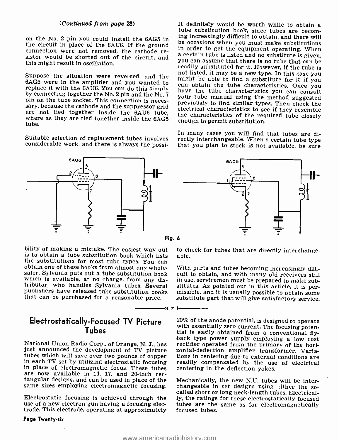#### (Continued from page 23)

on the No. 2 pin you could install the 6AG5 in the circuit in place of the 6AU6. If the ground<br>connection were not removed, the cathode re-<br>a certain tube is listed and postitute is given,<br>this wish the shorted out of the circuit, and<br>the shorted out of the circuit, a this might result in oscillation.

replace it with the 6AU6. You can do this simply<br>by connecting together the No. 2 pin and the No. 7<br>pin on the tube socket. This connection is neces-<br>pin and the Mo. 7 pin and the No. 7 pin and the No. 7 pin and the method pin on the tube socket. This connection is neces-<br>sary, because the cathode and the suppressor grid<br>are not tied together inside the 6AU6 tube,<br>where as they are tied together inside the 6AG5<br>enough to permit substitution. tube.

considerable work, and there is always the possi-

bility of making a mistake. The easiest way out to chis to obtain a tube substitution book which lists able. the substitutions for most tube types. You can<br>obtain one of these books from almost any whole-<br>saler. Sylvania puts out a tube substitution book<br>which is available, at no charge, from any dis-<br>tributor, who handles Sylvan

## Tubes

are now available in 14, 17, and 20-inch rec-<br>tangular designs, and can be used in place of the Mechanically, the new N.U. tubes will be inter-<br>same sizes employing electromagnetic focusing. changeable in set designs using

Electrostatic focusing is achieved through the use of a new electron gun having a focusing electrode. This electrode, operating at approximately

#### Page Twenty-six

Suppose the situation were reversed, and the not listed, it may be a new type. In this case you<br>6AG5 were in the amplifier and you wanted to some obtain the tube changed and result for it you It definitely would be worth while to obtain a tube substitution book, since tubes are becoming increasingly difficult to obtain, and there will be occasions when you must make substitutions a certain tube is listed and no substitute is given, readily substituted for it. However, if the tube is can obtain the tube characteristics. Once you your tube manual using the method suggested

In many cases you will find that tubes are di-<br>Suitable selection of replacement tubes involves<br>considerable work, and there is always the possi-<br>that you plan to stock is not available, be sure rectly interchangeable. When a certain tube type



Fig. 6

n ri

to check for tubes that are directly interchange-

With parts and tubes becoming increasingly diffi- cult to obtain, and with many old receivers still in use, servicemen must be prepared to make sub-<br>stitutes. As pointed out in this article, it is per-<br>missible, and it is usually possible to obtain some<br>substitute part that will give satisfactory service.

Electrostatically-Focused TV Picture  $20\%$  of the anode potential, is designed to operate back type power supply employing a low cost<br>just announced the development of TV picture is rectifier operated from the primary of the hori-<br>just announced the development of TV picture zontal-deflection amplifier transfor with essentially zero current. The focusing potential is easily obtained from a conventional flyzontal-deflection amplifier transformer. Variareadily compensated by the use of electrical centering in the deflection yokes.

> Mechanically, the new N.U. tubes will be interchangeable in set designs using either the soly, the ratings for these electrostatically focused tubes are the same as for electromagnetically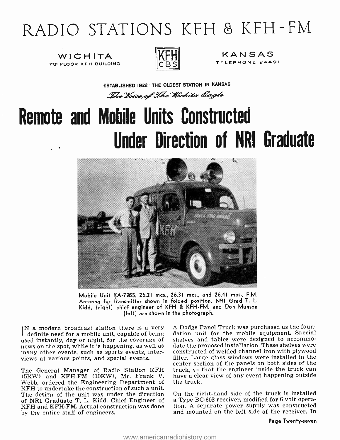## RADIO STATIONS KFH 8 KFH-FM

WICHITA **7TH FLOOR KFH BUILDING** 



CBS TELEPHONE 24491 KANSAS

ESTABLISHED 1922 - THE OLDEST STATION IN KANSAS The Voice of The Wirkita Eagle

# Remote and Mobile Units Constructed Under Direction of NRI Graduate



Mobile Unit KA- 7765, 26.21 mcs., 26.31 mcs., and 26.41 mcs., F.M. Antenna for transmitter shown in folded position. NRI Grad T. L. Kidd, (right) chief engineer of KFH & KFH -FM, and Don Munson (left) are shown in the photograph.

IN a modern broadcast station there is a very A Dodge Panel Truck was purchased as the foun-<br>definite need for a mobile unit, capable of being dation unit for the mobile equipment. Special<br>used instantly, day or night, for used instantly, day or night, for the coverage of news on the spot, while it is happening, as well as many other events, such as sports events, interviews at various points, and special events.

The General Manager of Radio Station KFH truck, so that the engineer inside the truck can<br>(5KW) and KFH-FM (10KW), Mr. Frank V. have a clear view of any event happening outside (5KW) and KFH -FM (10KW), Mr. Frank V. Webb, ordered the Engineering Department of KFH to undertake the construction of such a unit.<br>The design of the unit was under the direction On the right-hand side of the truck is installed The design of the unit was under the direction of NRI Graduate T. L. Kidd, Chief Engineer of KFH and KFH-FM. Actual construction was done by the entire staff of engineers.

A Dodge Panel Truck was purchased as the foundation unit for the mobile equipment. Special date the proposed installation. These shelves were<br>constructed of welded channel iron with plywood filler. Large glass windows were installed in the center section of the panels on both sides of the truck, so that the engineer inside the truck can the truck.

a Type BC-603 receiver, modified for 6 volt operation. A separate power supply was constructed and mounted on the left side of the receiver. In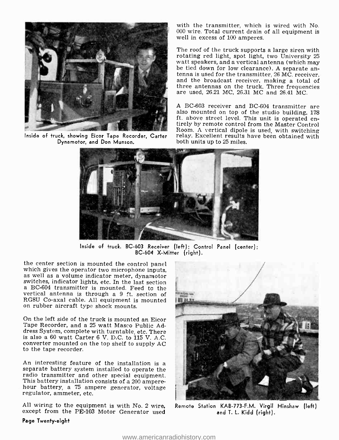

Dynamotor, and Don Munson.

with the transmitter, which is wired with No. 000 wire. Total current drain of all equipment is well in excess of 100 amperes.

The roof of the truck supports a large siren with rotating red light, spot light, two University 25 be tied down for low clearance). A separate antenna is used for the transmitter, 26 MC. receiver, and the broadcast receiver, making a total of three antennas on the truck. Three frequencies are used, 26.21 MC, 26.31 MC and 26.41 MC.

Inside of truck, showing Eicor Tape Recorder, Carter relay. Excellent results have been obtained with A BC -603 receiver and BC-604 transmitter are also mounted on top of the studio building, 178 ft. above street level. This unit is operated en- tirely by remote control from the Master Control Room. A vertical dipole is used, with switching both units up to 25 miles.



Inside of truck. BC -603 Receiver (left); Control Panel (center); BC -604 X- Mitter (right).

the center section is mounted the control panel<br>which gives the operator two microphone inputs,<br>as well as a volume indicator meter, dynamotor<br>switches, indicator lights, etc. In the last section<br>a BC-604 transmitter is mo vertical antenna is through a 9 ft. section of RG8U Co-axal cable. All equipment is mounted on rubber aircraft type shock mounts.

On the left side of the truck is mounted an Eicor Tape Recorder, and a 25 watt Masco Public Address System, complete with turntable, etc. There is also a 60 watt Carter 6 V. D.C. to 115 V. A.C. converter mounted on the top shelf to supply AC to the tape recorder.

An interesting feature of the installation is a separate battery system installed to operate the This battery installation consists of a 200 ampere-<br>hour battery, a 75 ampere generator, voltage<br>regulator, ammeter, etc.

All wiring to the equipment is with No. 2 wire, except from the PE -103 Motor Generator used



Remote Station KAB -773 -F.M. Virgil Hinshaw (left) and T. L. Kidd (right).

#### Page Twenty -eight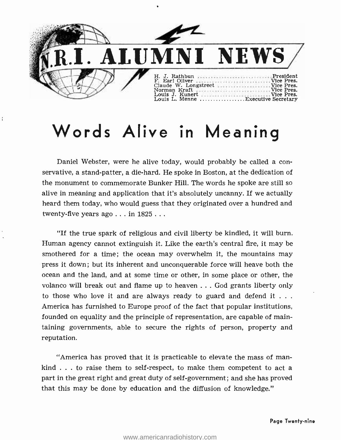

## Words Alive in Meaning

Daniel Webster, were he alive today, would probably be called a conservative, a stand -patter, a die -hard. He spoke in Boston, at the dedication of the monument to commemorate Bunker Hill. The words he spoke are still so alive in meaning and application that it's absolutely uncanny. If we actually heard them today, who would guess that they originated over a hundred and twenty-five years ago . . . in 1825...

"If the true spark of religious and civil liberty be kindled, it will burn. Human agency cannot extinguish it. Like the earth's central fire, it may be smothered for a time; the ocean may overwhelm it, the mountains may press it down ; but its inherent and unconquerable force will heave both the ocean and the land, and at some time or other, in some place or other, the volanco will break out and flame up to heaven ... God grants liberty only to those who love it and are always ready to guard and defend it  $\dots$ America has furnished to Europe proof of the fact that popular institutions, founded on equality and the principle of representation, are capable of maintaining governments, able to secure the rights of person, property and reputation.

"America has proved that it is practicable to elevate the mass of mankind  $\ldots$  to raise them to self-respect, to make them competent to act a part in the great right and great duty of self-government; and she has proved that this may be done by education and the diffusion of knowledge."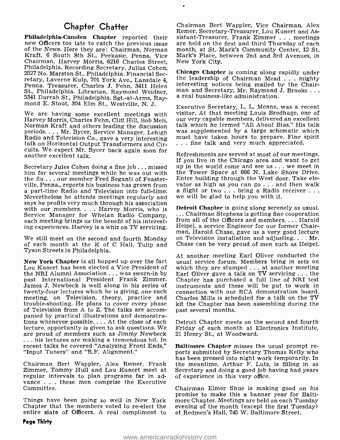### Chapter Chatter

Philadelphia- Camden Chapter reported their new Officers too late to catch the previous issue of the News. Here they are: Chairman, Norman Kraft, 6 South 8th St., Perkasie, Penna. Vice Philadelphia. Recording Secretary, Julius Cohen, 2527 No. Marston St., Philadelphia. Financial Secretary, Laverne Kulp, 701 York Ave., Lansdale 4, the leadership of Chairman Mead . . . mighty<br>Penna. Treasurer, Charles J. Fehn, 3411 Helen interesting notices being mailed by the Chair-St., Philadelphia. Librarian, Raymond Weidner, man and Secretary, Mr. Raymond 5341 Darrah St. Philadelphia Sct. 44.4rms Ray. a real business-like administration. <sup>5341</sup>Darrah St., Philadelphia. Sgt.-at-Arms, Ray- mond E. Stout, 304 Elm St., Westville, N. J.

We are having some excellent meetings with<br>Harvey Morris, Charles Fehn, Cliff Hill, Bob Meli,<br>Norman Kraft and others leading the discussion<br>periods....Mr. Bycer, Service Manager, Lehigh<br>Radio and Television Co., gave a ve cuits. We expect Mr. Bycer back again soon for another excellent talk.

Secretary Jules Cohen doing a fine job ... missed him for several meetings while he was out with the flu...our member Fred Seganti of Feasterville, Penna., reports his business has grown from vator as high as you can go . . . and then walk<br>a part-time Radio and Television into full-time. a flight or two . . . bring a Radio receiver . . .<br>Nevertheless he attend Nevertheless he attends meetings regularly and says he profits very much through his association with our members. . . . Harvey Morris, who is Detroit Chapter is going along serenely as usual.<br>Service Manager for Whelan Radio Company. . . . Chairman Stephens is getting fine cooperation each meeting brings us the benefit of his interesting experiences. Harvey is a whiz on TV servicing.

We still meet on the second and fourth Monday on Television installation and adjusting.... Mr.<br>of each month at the K of C Hall, Tulip and Chase can be very proud of men such as Heipel. Tyson Streets in Philadelphia.

New York Chapter is all hopped up over the fact usual service forum. Members bring in sets on Lou Kunert has been elected a Vice President of which they are stumped . . . at another meeting the NRI Alumni Association . . . was sworn-in by Earl Oliver gave a talk on TV servicing . . . the the NRI Alumni Association ... was sworn -in by past International President Frank Zimmer. James J. Newbeck is well along in his series of twenty -four lectures which he is giving, one each meeting, on Television, theory, practice and trouble-shooting. He plans to cover every phase<br>of Television from A to Z. The talks are accompanied by practical illustrations and demonstrations whenever possible.... At the close of each lecture, opportunity is given to ask questions. We ... his lectures are making a tremendous hit. In<br>recent talks he covered "Analyzing Front Ends," Baltimore Chapter misses the usual prompt rerecent talks he covered "Analyzing Front Ends," "Input Tuners" and "R.F. Alignment."

Chairman Bert Wappler, Alex Remer, Frank the meantime, Arthur F. Lutz, is filling in as Zimmer, Tommy Hull and Lou Kunert meet at regular intervals to plan programs far in ad-<br>vance . . . these men comprise the Executive Committee.

Chapter that the members voted to re -elect the entire slate of Officers. A real compliment to Chairman Bert Wappler, Vice Chairman, Alex Remer, Secretary- Treasurer, Lou Kunert and Assistant-Treasurer, Frank Zimmer . . . meetings are held on the first and third Thursday of each month, at St. Mark's Community Center, 12 St. Mark's Place, between 2nd and 3rd Avenues, in New York City.

Chicago Chapter is coming along rapidly under interesting notices being mailed by the Chairman and Secretary, Mr. Raymond J. Brooks  $\dots$ 

Executive Secretary, L. L. Menne, was a recent visitor. At that meeting Louis Brodhage, one of our very capable members, delivered an excellent was supplemented by a large schematic which must have taken hours to prepare. Fine spirit . .. fine talk and very much appreciated.

Refreshments are served at most of our meetings. If you live in the Chicago area and want to get up in the world come and see us ... we meet in the Tower Space at 666 N. Lake Shore Drive. Enter building through the West door. Take elevator as high as you can  $g_0$ ... and then walk

Detroit Chapter is going along serenely as usual. from all of the Officers and members.... Harold Heipel, a service Engineer for our former Chairman, Harold Chase, gave us a very good lecture Chase can be very proud of men such as Heipel.

At another meeting Earl Oliver conducted the which they are stumped ... at another meeting Chapter has purchased a full line of NRI test instruments and these will be put to work in connection with our RCA demonstration board. Charles Mills is scheduled for a talk on the TV kit the Chapter has been assembling during the past several months.

Detroit Chapter meets on the second and fourth Friday of each month at Electronics Institute, 21 Henry St., at Woodward.

ports submitted by Secretary Thomas Kelly who has been pressed into night work temporarily. In Secretary and doing a good job having had years of experience in this very office.

promise to make this a banner year for Balti-<br>Things have been going so well in New York – more Chapter. Meetings are held on each Tuesday<br>Chapter that the members voted to re-elect the – evening of the month (except the f Chairman Elmer Shue is making good on his more Chapter. Meetings are held on each Tuesday at Redmen's Hall, 745 W. Baltimore Street.

#### Page Thirty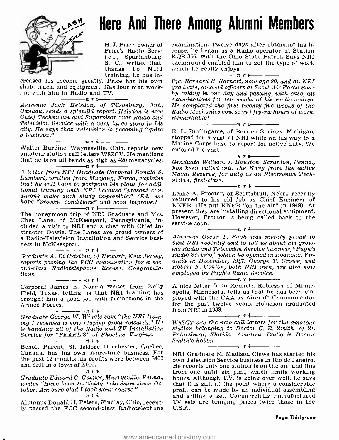

## Here And There Among Alumni Members

H. J. Price, owner of Price's Radio Service, Spartanburg, S. C., writes that, thanks to NRI training, he has in-

creased his income greatly. Price has his own shop, truck, and equipment. Has four men working with him in Radio and TV.<br> $\frac{n}{r}$ 

Chief Technician and Supervisor over Radio and Television Service with a very large store in his

that he is on all bands as high as 420 megacycles.<br> $\frac{m}{\sqrt{r}}$   $\frac{n}{r}$   $\frac{n}{r}$   $\frac{n}{r}$  megacycles.

A letter from NRI Graduate Corporal Donald S. Lambert, written from Miryang, Korea, explains that he will have to postpone his plans for additional training with NRI because "present con-<br>ditions make such study impossible." (Ed.-we return hope "present conditions" will soon improve.) nri

Chet Lane, of McKeesport, Pennsylvania, included a visit to NRI and a chat with Chief Instructor Dowie. The Lanes are proud owners of a Radio-Television Installation and Service business in McKeesport.  $n \frac{1}{\sqrt{1-\frac{1}{n}}}\frac{1}{\sqrt{1-\frac{1}{n}}}}$ 

Graduate A. Di Cristina, of Newark, New Jersey,<br>reports passing the FCC examination for a second-class Radiotelephone license. Congratula-<br>tions.  $\begin{array}{c} \n\hline\n\hline\n\hline\n\end{array}$   $\begin{array}{c} \n\hline\n\end{array}$   $\begin{array}{c} \n\hline\n\end{array}$   $\begin{array}{c} \n\hline\n\end{array}$   $\hline\n\end{array}$   $\begin{array}{c} \n\hline\n\end{array}$   $\begin{array}{c} \n\hline\n\end{array}$   $\begin{array}{c} \n\hline\n\end{array}$ 

Corporal James E. Norma writes from Kelly Field, Texas, telling us that NRI training has apolis, Minnesota, tells us that he has been em-<br>brought him a good job with promotions in the ployed with the CAA as Aircraft Communicator brought him a good job with promotions in the Armed Forces.  $\frac{1}{n}$   $\frac{n}{r}$   $\frac{1}{n}$ 

Graduate George W. Wiggle says "the NRI training I received is now reaping great rewards." He is handling all of the Radio and TV Installation Service for "PEARL'S" of Phoebus, Virginia.

Benoit Parent, St. Isidore Dorchester, Quebec, Canada, has his own spare -time business. For the past 12 months his profits were between  $$400$  own Television Service business in Rio de Janeiro. and \$500 in a town of 2,000.<br> $\frac{1}{\sqrt{1-\frac{1}{n}}}\prod_{i=1}^{n}$ 

writes "Have been servicing Television since October. Am sure glad I took your course."<br>  $\frac{1}{n}$   $\frac{1}{n}$   $\frac{1}{n}$   $\frac{1}{n}$   $\frac{1}{n}$ 

Alumnus Donald H. Peters, Findlay, Ohio, recently passed the FCC second -class Radiotelephone

examination. Twelve days after obtaining his license, he began as a Radio operator at Station KQB -356, with the Ohio State Patrol. Says NRI background enabled him to get the type of work which he really enjoys. nri

alumnus Jack Helsdon, of Tilsonburg, Ont., He completed the first twenty-five weeks of the<br>Canada, sends a splendid report. Helsdon is now Radio Mechanics course in fifty-six hours of work. Pfc. Bernard E. Barnett, now age 20, and an NRI graduate, amazed officers at Scott Air Force Base by taking in one day and passing, with ease, all He completed the first twenty-five weeks of the Radio Mechanics course in fifty -six hours of work.  $\begin{array}{c} Remarkable! \\ \hline \end{array}$ n ri

city. He says that Television is becoming "quite R. L. Burlingame, of Berrien Springs, Michigan,<br>
a business."<br> **nri-** a business."<br> **nri-** a business."<br>
Walter Burdine, Waynesville, Ohio, reports new enjoyed his visit.<br> stopped for a visit at NRI while on his way to a Marine Corps base to report for active duty. We<br>enjoyed his visit.<br> $\frac{n}{2}$   $\frac{n}{2}$   $\frac{n}{2}$ 

Graduate William, J. Houston, Scranton, Penna., has been called into the Navy from the active Naval Reserve, for duty as an Electronics Tech-

The honeymoon trip of NRI Graduate and Mrs. present they are installing directional equipment. nician, first-class.<br>  $\begin{array}{c}\n\cdots \\
\hline\n\end{array}$   $\begin{array}{c}\n\cdots \\
\hline\n\end{array}$   $\begin{array}{c}\n\cdots \\
\hline\n\end{array}$   $\begin{array}{c}\n\cdots \\
\hline\n\end{array}$   $\begin{array}{c}\n\cdots \\
\hline\n\end{array}$   $\begin{array}{c}\n\cdots \\
\hline\n\end{array}$   $\begin{array}{c}\n\cdots \\
\hline\n\end{array}$   $\begin{array}{c}\n\cdots \\
\hline\n\end{array}$   $\begin{array}{c$ returned to his old job as Chief Engineer of KNEB. (He put KNEB "on the air" in 1948). At However, Proctor is being called back to the service soon.<br> $\frac{\ }{1}$   $\frac{n}{r}$   $\frac{n}{r}$ 

Alumnus Oscar T. Pugh was mighty proud to visit NRI recently and to tell us about his growing Radio and Television Service business, "Pugh's Radio Service," which he opened in Roanoke, Virginia in December, 1947. George T. Crowe, and Robert F. Conlon, both NRI men, are also now<br>employed by Pugh's Radio Service.<br> $\begin{array}{c}\nT_{\text{r}}\text{r} \\
\hline\nT_{\text{r}}\text{r} \\
\hline\n\end{array}$ 

A nice letter from Kenneth Robieson of Minneapolis, Minnesota, tells us that he has been emfor the past twelve years. Robieson graduated from NRI in 1938.

W4SGT are the new call letters for the amateur station belonging to Doctor C. R. Smith, of St. Petersburg, Florida. Amateur Radio is Doctor Smith's hobby.<br> $n \rightarrow n \rightarrow n$ 

 $-n r i$ 

Graduate Edward C. Gasper, Murrysville, Penna., hours. Although T.V. is going over well, he says writes "Have been servicing Television since Oc-<br>writes "Have been servicing Television since Oc- that it is still at the poi NRI Graduate M. Madison Clews has started his He reports only one station is on the air, and this from one until six p.m., which limits working profit can be made by an individual assembling and selling a set. Commercially manufactured TV sets are bringing prices twice those in the U.S.A.